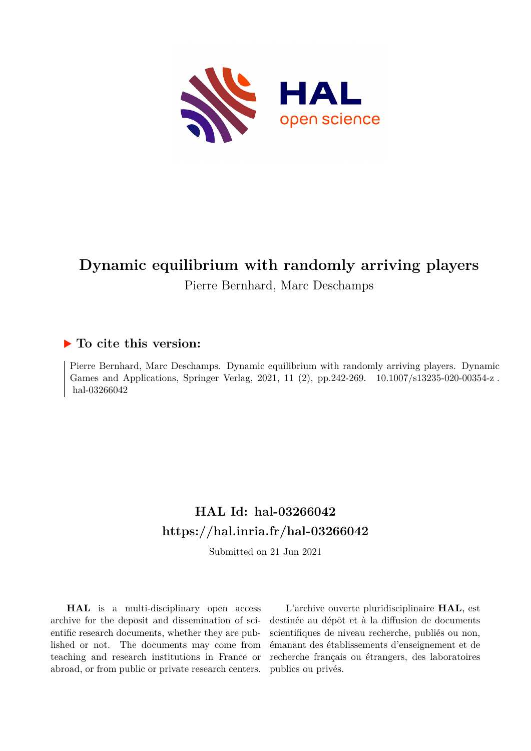

# **Dynamic equilibrium with randomly arriving players**

# Pierre Bernhard, Marc Deschamps

# **To cite this version:**

Pierre Bernhard, Marc Deschamps. Dynamic equilibrium with randomly arriving players. Dynamic Games and Applications, Springer Verlag, 2021, 11 (2), pp.242-269. 10.1007/s13235-020-00354-z. hal-03266042

# **HAL Id: hal-03266042 <https://hal.inria.fr/hal-03266042>**

Submitted on 21 Jun 2021

**HAL** is a multi-disciplinary open access archive for the deposit and dissemination of scientific research documents, whether they are published or not. The documents may come from teaching and research institutions in France or abroad, or from public or private research centers.

L'archive ouverte pluridisciplinaire **HAL**, est destinée au dépôt et à la diffusion de documents scientifiques de niveau recherche, publiés ou non, émanant des établissements d'enseignement et de recherche français ou étrangers, des laboratoires publics ou privés.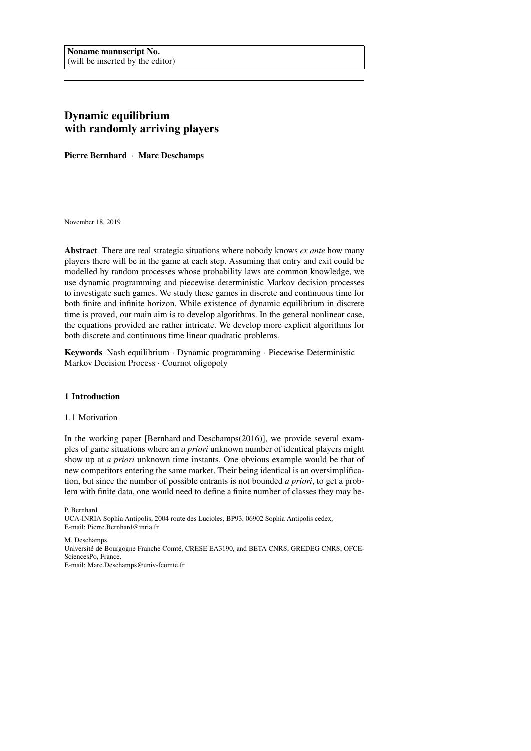## Dynamic equilibrium with randomly arriving players

Pierre Bernhard · Marc Deschamps

November 18, 2019

Abstract There are real strategic situations where nobody knows *ex ante* how many players there will be in the game at each step. Assuming that entry and exit could be modelled by random processes whose probability laws are common knowledge, we use dynamic programming and piecewise deterministic Markov decision processes to investigate such games. We study these games in discrete and continuous time for both finite and infinite horizon. While existence of dynamic equilibrium in discrete time is proved, our main aim is to develop algorithms. In the general nonlinear case, the equations provided are rather intricate. We develop more explicit algorithms for both discrete and continuous time linear quadratic problems.

Keywords Nash equilibrium · Dynamic programming · Piecewise Deterministic Markov Decision Process · Cournot oligopoly

#### 1 Introduction

#### 1.1 Motivation

In the working paper [Bernhard and Deschamps(2016)], we provide several examples of game situations where an *a priori* unknown number of identical players might show up at *a priori* unknown time instants. One obvious example would be that of new competitors entering the same market. Their being identical is an oversimplification, but since the number of possible entrants is not bounded *a priori*, to get a problem with finite data, one would need to define a finite number of classes they may be-

P. Bernhard

M. Deschamps

Université de Bourgogne Franche Comté, CRESE EA3190, and BETA CNRS, GREDEG CNRS, OFCE-SciencesPo, France.

E-mail: Marc.Deschamps@univ-fcomte.fr

UCA-INRIA Sophia Antipolis, 2004 route des Lucioles, BP93, 06902 Sophia Antipolis cedex, E-mail: Pierre.Bernhard@inria.fr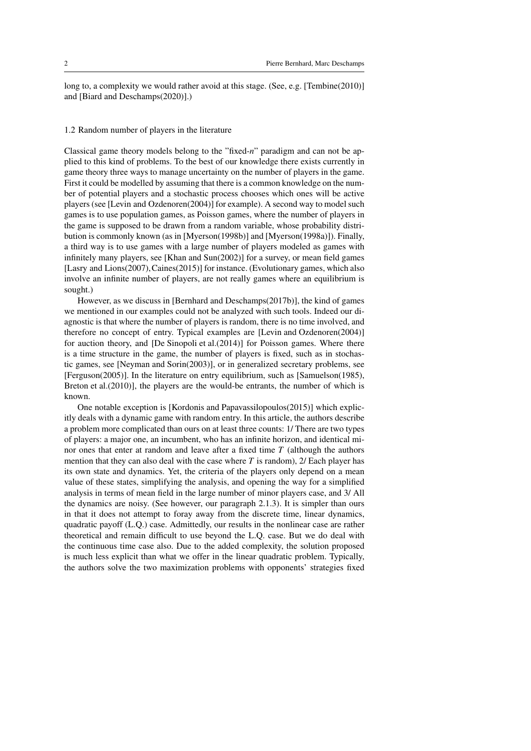long to, a complexity we would rather avoid at this stage. (See, e.g. [Tembine(2010)] and [Biard and Deschamps(2020)].)

#### 1.2 Random number of players in the literature

Classical game theory models belong to the "fixed-*n*" paradigm and can not be applied to this kind of problems. To the best of our knowledge there exists currently in game theory three ways to manage uncertainty on the number of players in the game. First it could be modelled by assuming that there is a common knowledge on the number of potential players and a stochastic process chooses which ones will be active players (see [Levin and Ozdenoren(2004)] for example). A second way to model such games is to use population games, as Poisson games, where the number of players in the game is supposed to be drawn from a random variable, whose probability distribution is commonly known (as in [Myerson(1998b)] and [Myerson(1998a)]). Finally, a third way is to use games with a large number of players modeled as games with infinitely many players, see [Khan and Sun(2002)] for a survey, or mean field games [Lasry and Lions(2007),Caines(2015)] for instance. (Evolutionary games, which also involve an infinite number of players, are not really games where an equilibrium is sought.)

However, as we discuss in [Bernhard and Deschamps(2017b)], the kind of games we mentioned in our examples could not be analyzed with such tools. Indeed our diagnostic is that where the number of players is random, there is no time involved, and therefore no concept of entry. Typical examples are [Levin and Ozdenoren(2004)] for auction theory, and [De Sinopoli et al.(2014)] for Poisson games. Where there is a time structure in the game, the number of players is fixed, such as in stochastic games, see [Neyman and Sorin(2003)], or in generalized secretary problems, see [Ferguson(2005)]. In the literature on entry equilibrium, such as [Samuelson(1985), Breton et al.(2010)], the players are the would-be entrants, the number of which is known.

One notable exception is [Kordonis and Papavassilopoulos(2015)] which explicitly deals with a dynamic game with random entry. In this article, the authors describe a problem more complicated than ours on at least three counts: 1/ There are two types of players: a major one, an incumbent, who has an infinite horizon, and identical minor ones that enter at random and leave after a fixed time *T* (although the authors mention that they can also deal with the case where  $T$  is random), 2/ Each player has its own state and dynamics. Yet, the criteria of the players only depend on a mean value of these states, simplifying the analysis, and opening the way for a simplified analysis in terms of mean field in the large number of minor players case, and 3/ All the dynamics are noisy. (See however, our paragraph 2.1.3). It is simpler than ours in that it does not attempt to foray away from the discrete time, linear dynamics, quadratic payoff (L.Q.) case. Admittedly, our results in the nonlinear case are rather theoretical and remain difficult to use beyond the L.Q. case. But we do deal with the continuous time case also. Due to the added complexity, the solution proposed is much less explicit than what we offer in the linear quadratic problem. Typically, the authors solve the two maximization problems with opponents' strategies fixed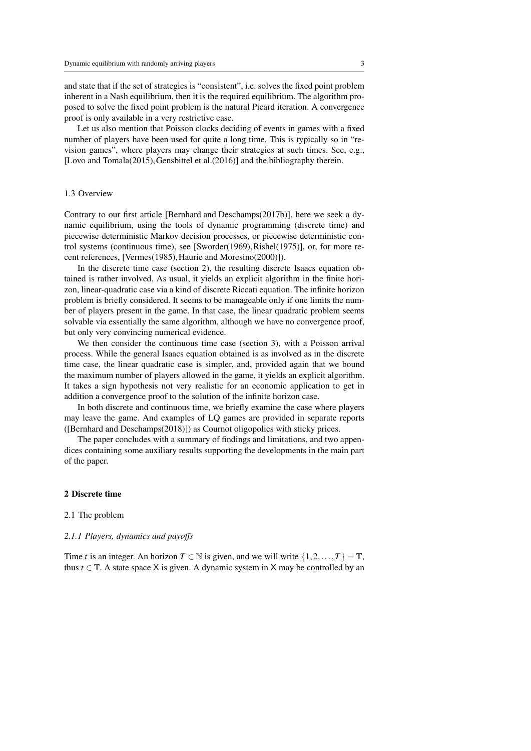and state that if the set of strategies is "consistent", i.e. solves the fixed point problem inherent in a Nash equilibrium, then it is the required equilibrium. The algorithm proposed to solve the fixed point problem is the natural Picard iteration. A convergence proof is only available in a very restrictive case.

Let us also mention that Poisson clocks deciding of events in games with a fixed number of players have been used for quite a long time. This is typically so in "revision games", where players may change their strategies at such times. See, e.g., [Lovo and Tomala(2015), Gensbittel et al.(2016)] and the bibliography therein.

#### 1.3 Overview

Contrary to our first article [Bernhard and Deschamps(2017b)], here we seek a dynamic equilibrium, using the tools of dynamic programming (discrete time) and piecewise deterministic Markov decision processes, or piecewise deterministic control systems (continuous time), see [Sworder(1969),Rishel(1975)], or, for more recent references, [Vermes(1985),Haurie and Moresino(2000)]).

In the discrete time case (section 2), the resulting discrete Isaacs equation obtained is rather involved. As usual, it yields an explicit algorithm in the finite horizon, linear-quadratic case via a kind of discrete Riccati equation. The infinite horizon problem is briefly considered. It seems to be manageable only if one limits the number of players present in the game. In that case, the linear quadratic problem seems solvable via essentially the same algorithm, although we have no convergence proof, but only very convincing numerical evidence.

We then consider the continuous time case (section 3), with a Poisson arrival process. While the general Isaacs equation obtained is as involved as in the discrete time case, the linear quadratic case is simpler, and, provided again that we bound the maximum number of players allowed in the game, it yields an explicit algorithm. It takes a sign hypothesis not very realistic for an economic application to get in addition a convergence proof to the solution of the infinite horizon case.

In both discrete and continuous time, we briefly examine the case where players may leave the game. And examples of LQ games are provided in separate reports ([Bernhard and Deschamps(2018)]) as Cournot oligopolies with sticky prices.

The paper concludes with a summary of findings and limitations, and two appendices containing some auxiliary results supporting the developments in the main part of the paper.

#### 2 Discrete time

#### 2.1 The problem

#### *2.1.1 Players, dynamics and payoffs*

Time *t* is an integer. An horizon  $T \in \mathbb{N}$  is given, and we will write  $\{1, 2, ..., T\} = \mathbb{T}$ , thus  $t \in \mathbb{T}$ . A state space X is given. A dynamic system in X may be controlled by an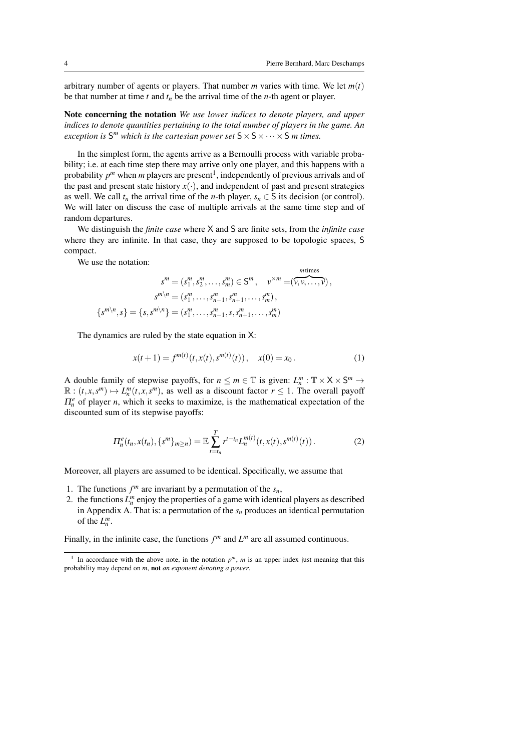arbitrary number of agents or players. That number *m* varies with time. We let *m*(*t*) be that number at time  $t$  and  $t_n$  be the arrival time of the  $n$ -th agent or player.

Note concerning the notation *We use lower indices to denote players, and upper indices to denote quantities pertaining to the total number of players in the game. An exception is*  $S^m$  *which is the cartesian power set*  $S \times S \times \cdots \times S$  *m times.* 

In the simplest form, the agents arrive as a Bernoulli process with variable probability; i.e. at each time step there may arrive only one player, and this happens with a probability  $p^m$  when *m* players are present<sup>1</sup>, independently of previous arrivals and of the past and present state history  $x(\cdot)$ , and independent of past and present strategies as well. We call  $t_n$  the arrival time of the *n*-th player,  $s_n \in S$  its decision (or control). We will later on discuss the case of multiple arrivals at the same time step and of random departures.

We distinguish the *finite case* where X and S are finite sets, from the *infinite case* where they are infinite. In that case, they are supposed to be topologic spaces, S compact.

We use the notation:

$$
s^{m} = (s_{1}^{m}, s_{2}^{m}, \dots, s_{m}^{m}) \in S^{m}, \quad v^{\times m} = (\overbrace{v, v, \dots, v}^{m \text{ times}}),
$$

$$
s^{m \setminus n} = (s_{1}^{m}, \dots, s_{n-1}^{m}, s_{n+1}^{m}, \dots, s_{m}^{m}),
$$

$$
\{s^{m \setminus n}, s\} = \{s, s^{m \setminus n}\} = (s_{1}^{m}, \dots, s_{n-1}^{m}, s, s_{n+1}^{m}, \dots, s_{m}^{m})
$$

The dynamics are ruled by the state equation in X:

$$
x(t+1) = f^{m(t)}(t, x(t), s^{m(t)}(t)), \quad x(0) = x_0.
$$
 (1)

A double family of stepwise payoffs, for  $n \le m \in \mathbb{T}$  is given:  $L_n^m : \mathbb{T} \times X \times S^m \to$  $\mathbb{R} : (t, x, s^m) \mapsto L_n^m(t, x, s^m)$ , as well as a discount factor  $r \leq 1$ . The overall payoff  $\Pi_n^e$  of player *n*, which it seeks to maximize, is the mathematical expectation of the discounted sum of its stepwise payoffs:

$$
\Pi_n^e(t_n, x(t_n), \{s^m\}_{m \ge n}) = \mathbb{E} \sum_{t=t_n}^T r^{t-t_n} L_n^{m(t)}(t, x(t), s^{m(t)}(t)). \tag{2}
$$

Moreover, all players are assumed to be identical. Specifically, we assume that

- 1. The functions  $f^m$  are invariant by a permutation of the  $s_n$ ,
- 2. the functions  $L_n^m$  enjoy the properties of a game with identical players as described in Appendix A. That is: a permutation of the  $s_n$  produces an identical permutation of the  $L_n^m$ .

Finally, in the infinite case, the functions  $f^m$  and  $L^m$  are all assumed continuous.

<sup>&</sup>lt;sup>1</sup> In accordance with the above note, in the notation  $p^m$ ,  $m$  is an upper index just meaning that this probability may depend on *m*, not *an exponent denoting a power*.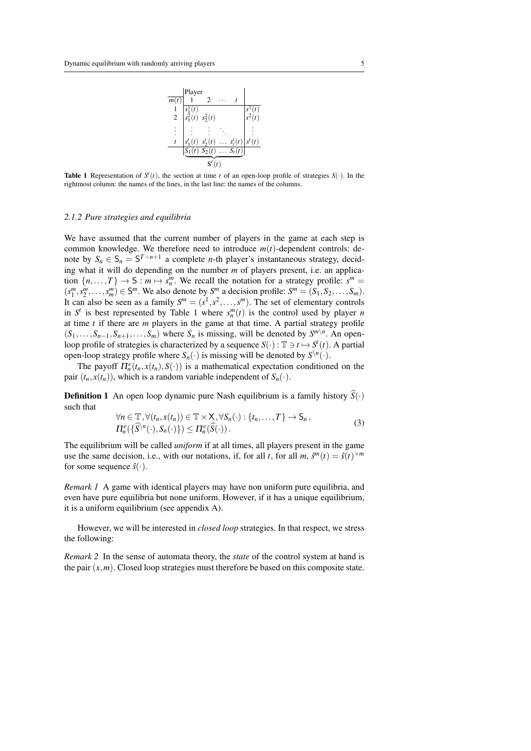

**Table 1** Representation of  $S<sup>t</sup>(t)$ , the section at time *t* of an open-loop profile of strategies  $S(\cdot)$ . In the rightmost column: the names of the lines, in the last line: the names of the columns.

#### *2.1.2 Pure strategies and equilibria*

We have assumed that the current number of players in the game at each step is common knowledge. We therefore need to introduce *m*(*t*)-dependent controls: denote by  $S_n \in S_n = S^{T-n+1}$  a complete *n*-th player's instantaneous strategy, deciding what it will do depending on the number *m* of players present, i.e. an application  $\{n, \ldots, T\} \to S : m \mapsto s_n^m$ . We recall the notation for a strategy profile:  $s^m =$  $(s_1^m, s_2^m, \ldots, s_m^m) \in S^m$ . We also denote by  $S^m$  a decision profile:  $S^m = (S_1, S_2, \ldots, S_m)$ . It can also be seen as a family  $S^m = (s^1, s^2, \dots, s^m)$ . The set of elementary controls in  $S^t$  is best represented by Table 1 where  $s_n^m(t)$  is the control used by player *n* at time *t* if there are *m* players in the game at that time. A partial strategy profile  $(S_1, \ldots, S_{n-1}, S_{n+1}, \ldots, S_m)$  where  $S_n$  is missing, will be denoted by  $S^{m \setminus n}$ . An openloop profile of strategies is characterized by a sequence  $S(\cdot)$  :  $\mathbb{T} \ni t \mapsto S^t(t)$ . A partial open-loop strategy profile where  $S_n(\cdot)$  is missing will be denoted by  $S^{\setminus n}(\cdot)$ .

The payoff  $\Pi_n^e(t_n, x(t_n), S(\cdot))$  is a mathematical expectation conditioned on the pair  $(t_n, x(t_n))$ , which is a random variable independent of  $S_n(\cdot)$ .

**Definition 1** An open loop dynamic pure Nash equilibrium is a family history  $\widehat{S}(\cdot)$ such that

$$
\forall n \in \mathbb{T}, \forall (t_n, x(t_n)) \in \mathbb{T} \times \mathsf{X}, \forall S_n(\cdot) : \{t_n, \dots, T\} \to \mathsf{S}_n,
$$
  

$$
\Pi_n^e(\{\widehat{S}^{\setminus n}(\cdot), S_n(\cdot)\}) \le \Pi_n^e(\widehat{S}(\cdot)).
$$
 (3)

The equilibrium will be called *uniform* if at all times, all players present in the game use the same decision, i.e., with our notations, if, for all *t*, for all *m*,  $\hat{s}^m(t) = \hat{s}(t)^{\times m}$ for some sequence  $\hat{s}(\cdot)$ .

*Remark 1* A game with identical players may have non uniform pure equilibria, and even have pure equilibria but none uniform. However, if it has a unique equilibrium, it is a uniform equilibrium (see appendix A).

However, we will be interested in *closed loop* strategies. In that respect, we stress the following:

*Remark 2* In the sense of automata theory, the *state* of the control system at hand is the pair  $(x, m)$ . Closed loop strategies must therefore be based on this composite state.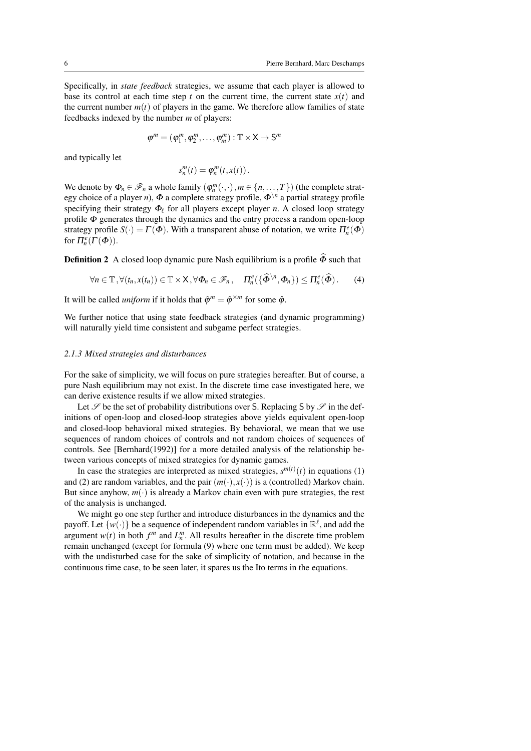Specifically, in *state feedback* strategies, we assume that each player is allowed to base its control at each time step  $t$  on the current time, the current state  $x(t)$  and the current number  $m(t)$  of players in the game. We therefore allow families of state feedbacks indexed by the number *m* of players:

$$
\boldsymbol{\phi}^m = (\varphi_1^m, \varphi_2^m, \dots, \varphi_m^m) : \mathbb{T} \times \mathsf{X} \to \mathsf{S}^m
$$

and typically let

$$
s_n^m(t) = \varphi_n^m(t, x(t)).
$$

We denote by  $\Phi_n \in \mathcal{F}_n$  a whole family  $(\varphi_n^m(\cdot,\cdot), m \in \{n,\ldots,T\})$  (the complete strategy choice of a player *n*),  $\Phi$  a complete strategy profile,  $\Phi^{\setminus n}$  a partial strategy profile specifying their strategy  $\Phi_\ell$  for all players except player *n*. A closed loop strategy profile Φ generates through the dynamics and the entry process a random open-loop strategy profile  $S(\cdot) = \Gamma(\Phi)$ . With a transparent abuse of notation, we write  $\Pi_n^e(\Phi)$ for  $\Pi_n^e(\Gamma(\Phi))$ .

**Definition 2** A closed loop dynamic pure Nash equilibrium is a profile  $\hat{\Phi}$  such that

$$
\forall n \in \mathbb{T}, \forall (t_n, x(t_n)) \in \mathbb{T} \times \mathsf{X}, \forall \Phi_n \in \mathscr{F}_n, \quad \Pi_n^e(\{\widehat{\Phi}^{\setminus n}, \Phi_n\}) \leq \Pi_n^e(\widehat{\Phi}). \tag{4}
$$

It will be called *uniform* if it holds that  $\hat{\varphi}^m = \hat{\varphi}^{\times m}$  for some  $\hat{\varphi}$ .

We further notice that using state feedback strategies (and dynamic programming) will naturally yield time consistent and subgame perfect strategies.

#### *2.1.3 Mixed strategies and disturbances*

For the sake of simplicity, we will focus on pure strategies hereafter. But of course, a pure Nash equilibrium may not exist. In the discrete time case investigated here, we can derive existence results if we allow mixed strategies.

Let  $\mathscr S$  be the set of probability distributions over S. Replacing S by  $\mathscr S$  in the definitions of open-loop and closed-loop strategies above yields equivalent open-loop and closed-loop behavioral mixed strategies. By behavioral, we mean that we use sequences of random choices of controls and not random choices of sequences of controls. See [Bernhard(1992)] for a more detailed analysis of the relationship between various concepts of mixed strategies for dynamic games.

In case the strategies are interpreted as mixed strategies,  $s^{m(t)}(t)$  in equations (1) and (2) are random variables, and the pair  $(m(\cdot), x(\cdot))$  is a (controlled) Markov chain. But since anyhow,  $m(\cdot)$  is already a Markov chain even with pure strategies, the rest of the analysis is unchanged.

We might go one step further and introduce disturbances in the dynamics and the payoff. Let  $\{w(\cdot)\}$  be a sequence of independent random variables in  $\mathbb{R}^{\ell}$ , and add the argument  $w(t)$  in both  $f^m$  and  $L_n^m$ . All results hereafter in the discrete time problem remain unchanged (except for formula (9) where one term must be added). We keep with the undisturbed case for the sake of simplicity of notation, and because in the continuous time case, to be seen later, it spares us the Ito terms in the equations.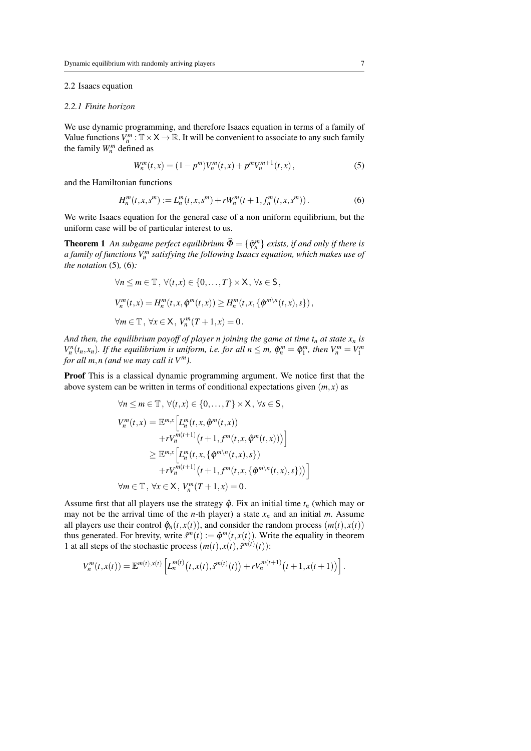#### 2.2 Isaacs equation

#### *2.2.1 Finite horizon*

We use dynamic programming, and therefore Isaacs equation in terms of a family of Value functions  $V_n^m : \mathbb{T} \times X \to \mathbb{R}$ . It will be convenient to associate to any such family the family  $W_n^m$  defined as

$$
W_n^m(t,x) = (1 - p^m) V_n^m(t,x) + p^m V_n^{m+1}(t,x),
$$
\n(5)

and the Hamiltonian functions

$$
H_n^m(t, x, s^m) := L_n^m(t, x, s^m) + rW_n^m(t+1, f_n^m(t, x, s^m)).
$$
 (6)

We write Isaacs equation for the general case of a non uniform equilibrium, but the uniform case will be of particular interest to us.

**Theorem 1** *An subgame perfect equilibrium*  $\widehat{\Phi} = {\widehat{\varphi}_n^m}$  *exists, if and only if there is a family of functions V <sup>m</sup> n satisfying the following Isaacs equation, which makes use of the notation* (5)*,* (6)*:*

$$
\forall n \le m \in \mathbb{T}, \forall (t, x) \in \{0, \dots, T\} \times \mathsf{X}, \forall s \in \mathsf{S},
$$
  

$$
V_n^m(t, x) = H_n^m(t, x, \hat{\varphi}^m(t, x)) \ge H_n^m(t, x, \{\hat{\varphi}^{m \setminus n}(t, x), s\}),
$$
  

$$
\forall m \in \mathbb{T}, \forall x \in \mathsf{X}, V_n^m(T + 1, x) = 0.
$$

*And then, the equilibrium payoff of player n joining the game at time*  $t_n$  *at state*  $x_n$  *is V*<sub>n</sub><sup>n</sup>(*t*<sub>n</sub>, *x*<sub>n</sub>). *If the equilibrium is uniform, i.e. for all*  $n \leq m$ *,*  $\hat{\varphi}_n^m = \hat{\varphi}_1^m$ *, then*  $V_n^m = V_1^m$ *for all*  $m, n$  (and we may call it  $V^m$ ).

Proof This is a classical dynamic programming argument. We notice first that the above system can be written in terms of conditional expectations given  $(m, x)$  as

$$
\forall n \leq m \in \mathbb{T}, \forall (t, x) \in \{0, \dots, T\} \times X, \forall s \in S,
$$
  
\n
$$
V_n^m(t, x) = \mathbb{E}^{m, x} \Big[ L_n^m(t, x, \hat{\varphi}^m(t, x))
$$
  
\n
$$
+ r V_n^{m(t+1)} \big( t + 1, f^m(t, x, \hat{\varphi}^m(t, x)) \big) \Big]
$$
  
\n
$$
\geq \mathbb{E}^{m, x} \Big[ L_n^m(t, x, \{\hat{\varphi}^{m \setminus n}(t, x), s\})
$$
  
\n
$$
+ r V_n^{m(t+1)} \big( t + 1, f^m(t, x, \{\hat{\varphi}^{m \setminus n}(t, x), s\}) \big) \Big]
$$
  
\n
$$
\forall m \in \mathbb{T}, \forall x \in X, V_n^m(T + 1, x) = 0.
$$

Assume first that all players use the strategy  $\hat{\varphi}$ . Fix an initial time  $t_n$  (which may or may not be the arrival time of the *n*-th player) a state  $x_n$  and an initial *m*. Assume all players use their control  $\hat{\varphi}_n(t, x(t))$ , and consider the random process  $(m(t), x(t))$ thus generated. For brevity, write  $\hat{s}^m(t) := \hat{\varphi}^m(t, x(t))$ . Write the equality in theorem 1 at all steps of the stochastic process  $(m(t), x(t), \hat{s}^{m(t)}(t))$ :

$$
V_n^m(t,x(t)) = \mathbb{E}^{m(t),x(t)} \left[ L_n^{m(t)}(t,x(t),\tilde{s}^{m(t)}(t)) + rV_n^{m(t+1)}(t+1,x(t+1)) \right].
$$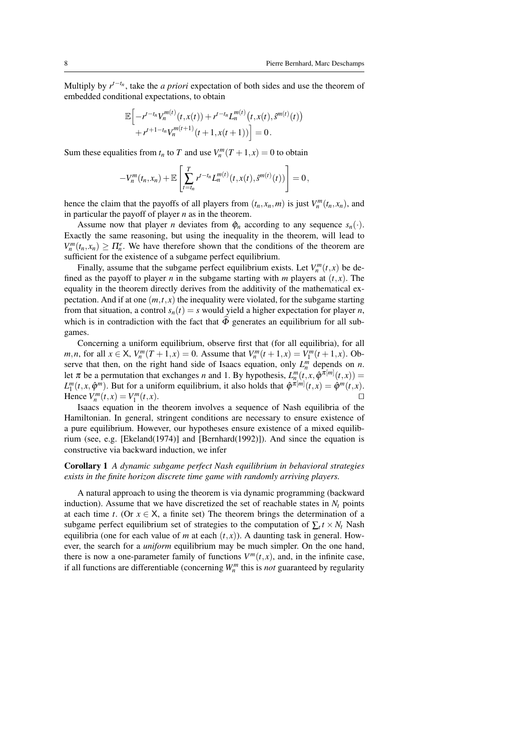Multiply by  $r^{t-t_n}$ , take the *a priori* expectation of both sides and use the theorem of embedded conditional expectations, to obtain

$$
\mathbb{E}\Big[-r^{t-t_n}V_n^{m(t)}(t,x(t))+r^{t-t_n}L_n^{m(t)}(t,x(t),\hat{s}^{m(t)}(t))+r^{t+1-t_n}V_n^{m(t+1)}(t+1,x(t+1))\Big]=0.
$$

Sum these equalities from  $t_n$  to *T* and use  $V_n^m(T+1,x) = 0$  to obtain

$$
-V_n^m(t_n,x_n)+\mathbb{E}\left[\sum_{t=t_n}^T r^{t-t_n}L_n^{m(t)}(t,x(t),\hat{s}^{m(t)}(t))\right]=0,
$$

hence the claim that the payoffs of all players from  $(t_n, x_n, m)$  is just  $V_n^m(t_n, x_n)$ , and in particular the payoff of player *n* as in the theorem.

Assume now that player *n* deviates from  $\hat{\varphi}_n$  according to any sequence  $s_n(\cdot)$ . Exactly the same reasoning, but using the inequality in the theorem, will lead to  $V_n^m(t_n, x_n) \geq \prod_{n=1}^e$ . We have therefore shown that the conditions of the theorem are sufficient for the existence of a subgame perfect equilibrium.

Finally, assume that the subgame perfect equilibrium exists. Let  $V_n^m(t, x)$  be defined as the payoff to player *n* in the subgame starting with *m* players at  $(t, x)$ . The equality in the theorem directly derives from the additivity of the mathematical expectation. And if at one  $(m,t,x)$  the inequality were violated, for the subgame starting from that situation, a control  $s_n(t) = s$  would yield a higher expectation for player *n*, which is in contradiction with the fact that  $\widehat{\Phi}$  generates an equilibrium for all subgames.

Concerning a uniform equilibrium, observe first that (for all equilibria), for all *m*,*n*, for all  $x \in X$ ,  $V_n^m(T + 1, x) = 0$ . Assume that  $V_n^m(t + 1, x) = V_1^m(t + 1, x)$ . Observe that then, on the right hand side of Isaacs equation, only  $L_n^m$  depends on *n*. let  $\pi$  be a permutation that exchanges *n* and 1. By hypothesis,  $L_n^m(t, x, \hat{\varphi}^{\pi[m]}(t, x)) =$  $L_1^m(t, x, \hat{\varphi}^m)$ . But for a uniform equilibrium, it also holds that  $\hat{\varphi}^{\pi[m]}(t, x) = \hat{\varphi}^m(t, x)$ . Hence  $V_n^m(t, x) = V_1^m$  $(t, x)$ .

Isaacs equation in the theorem involves a sequence of Nash equilibria of the Hamiltonian. In general, stringent conditions are necessary to ensure existence of a pure equilibrium. However, our hypotheses ensure existence of a mixed equilibrium (see, e.g. [Ekeland(1974)] and [Bernhard(1992)]). And since the equation is constructive via backward induction, we infer

#### Corollary 1 *A dynamic subgame perfect Nash equilibrium in behavioral strategies exists in the finite horizon discrete time game with randomly arriving players.*

A natural approach to using the theorem is via dynamic programming (backward induction). Assume that we have discretized the set of reachable states in  $N_t$  points at each time *t*. (Or  $x \in X$ , a finite set) The theorem brings the determination of a subgame perfect equilibrium set of strategies to the computation of  $\sum_t t \times N_t$  Nash equilibria (one for each value of *m* at each  $(t, x)$ ). A daunting task in general. However, the search for a *uniform* equilibrium may be much simpler. On the one hand, there is now a one-parameter family of functions  $V^m(t, x)$ , and, in the infinite case, if all functions are differentiable (concerning  $W_n^m$  this is *not* guaranteed by regularity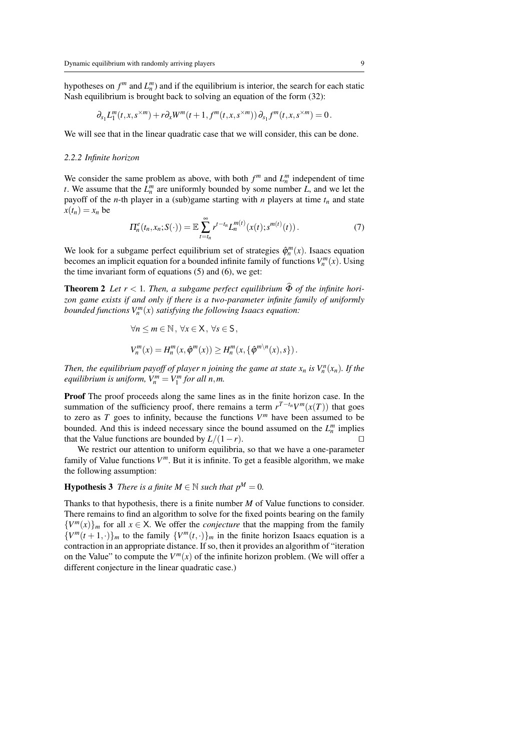hypotheses on  $f^m$  and  $L_n^m$ ) and if the equilibrium is interior, the search for each static Nash equilibrium is brought back to solving an equation of the form (32):

$$
\partial_{s_1}L_1^m(t,x,s^{m})+r\partial_xW^m(t+1,f^m(t,x,s^{m}))\partial_{s_1}f^m(t,x,s^{m})=0.
$$

We will see that in the linear quadratic case that we will consider, this can be done.

#### *2.2.2 Infinite horizon*

We consider the same problem as above, with both  $f^m$  and  $L_n^m$  independent of time *t*. We assume that the  $L_n^m$  are uniformly bounded by some number *L*, and we let the payoff of the *n*-th player in a (sub)game starting with *n* players at time  $t_n$  and state  $x(t_n) = x_n$  be

$$
\Pi_n^e(t_n, x_n; S(\cdot)) = \mathbb{E} \sum_{t=t_n}^{\infty} r^{t-t_n} L_n^{m(t)}(x(t); s^{m(t)}(t)). \tag{7}
$$

We look for a subgame perfect equilibrium set of strategies  $\hat{\varphi}_n^m(x)$ . Isaacs equation becomes an implicit equation for a bounded infinite family of functions  $V_n^m(x)$ . Using the time invariant form of equations (5) and (6), we get:

**Theorem 2** Let  $r < 1$ . Then, a subgame perfect equilibrium  $\widehat{\Phi}$  of the infinite hori*zon game exists if and only if there is a two-parameter infinite family of uniformly bounded functions*  $V_n^m(x)$  *satisfying the following Isaacs equation:* 

$$
\forall n \le m \in \mathbb{N}, \forall x \in \mathsf{X}, \forall s \in \mathsf{S},
$$
  

$$
V_n^m(x) = H_n^m(x, \phi^m(x)) \ge H_n^m(x, {\phi^m}^n(x), s).
$$

*Then, the equilibrium payoff of player n joining the game at state*  $x_n$  *is*  $V_n^n(x_n)$ *<i>. If the equilibrium is uniform,*  $V_n^m = V_1^m$  *for all n,m.* 

Proof The proof proceeds along the same lines as in the finite horizon case. In the summation of the sufficiency proof, there remains a term  $r^{T-t_n}V^m(x(T))$  that goes to zero as  $T$  goes to infinity, because the functions  $V^m$  have been assumed to be bounded. And this is indeed necessary since the bound assumed on the  $L_n^m$  implies that the Value functions are bounded by  $L/(1 - r)$ . □

We restrict our attention to uniform equilibria, so that we have a one-parameter family of Value functions  $V^m$ . But it is infinite. To get a feasible algorithm, we make the following assumption:

**Hypothesis 3** *There is a finite*  $M \in \mathbb{N}$  *such that*  $p^M = 0$ *.* 

Thanks to that hypothesis, there is a finite number *M* of Value functions to consider. There remains to find an algorithm to solve for the fixed points bearing on the family  ${V^m(x)}_m$  for all  $x \in X$ . We offer the *conjecture* that the mapping from the family  ${V^m(t+1,\cdot)}_m$  to the family  ${V^m(t,\cdot)}_m$  in the finite horizon Isaacs equation is a contraction in an appropriate distance. If so, then it provides an algorithm of "iteration on the Value" to compute the  $V^m(x)$  of the infinite horizon problem. (We will offer a different conjecture in the linear quadratic case.)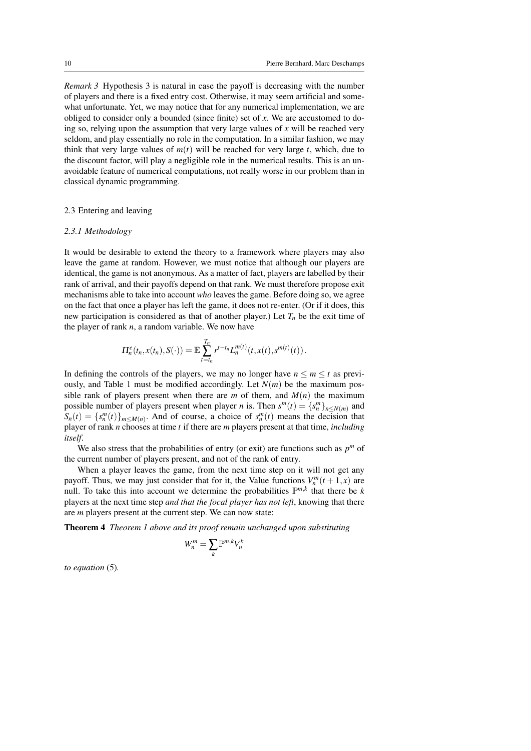*Remark 3* Hypothesis 3 is natural in case the payoff is decreasing with the number of players and there is a fixed entry cost. Otherwise, it may seem artificial and somewhat unfortunate. Yet, we may notice that for any numerical implementation, we are obliged to consider only a bounded (since finite) set of *x*. We are accustomed to doing so, relying upon the assumption that very large values of *x* will be reached very seldom, and play essentially no role in the computation. In a similar fashion, we may think that very large values of  $m(t)$  will be reached for very large *t*, which, due to the discount factor, will play a negligible role in the numerical results. This is an unavoidable feature of numerical computations, not really worse in our problem than in classical dynamic programming.

#### 2.3 Entering and leaving

#### *2.3.1 Methodology*

It would be desirable to extend the theory to a framework where players may also leave the game at random. However, we must notice that although our players are identical, the game is not anonymous. As a matter of fact, players are labelled by their rank of arrival, and their payoffs depend on that rank. We must therefore propose exit mechanisms able to take into account *who* leaves the game. Before doing so, we agree on the fact that once a player has left the game, it does not re-enter. (Or if it does, this new participation is considered as that of another player.) Let  $T<sub>n</sub>$  be the exit time of the player of rank *n*, a random variable. We now have

$$
\Pi_n^e(t_n,x(t_n),S(\cdot))=\mathbb{E}\sum_{t=t_n}^{T_n}r^{t-t_n}L_n^{m(t)}(t,x(t),s^{m(t)}(t)).
$$

In defining the controls of the players, we may no longer have  $n \leq m \leq t$  as previously, and Table 1 must be modified accordingly. Let  $N(m)$  be the maximum possible rank of players present when there are  $m$  of them, and  $M(n)$  the maximum possible number of players present when player *n* is. Then  $s^m(t) = \{s_n^m\}_{n \le N(m)}$  and  $S_n(t) = \{s_n^m(t)\}_{m \le M(n)}$ . And of course, a choice of  $s_n^m(t)$  means the decision that player of rank *n* chooses at time *t* if there are *m* players present at that time, *including itself*.

We also stress that the probabilities of entry (or exit) are functions such as  $p^m$  of the current number of players present, and not of the rank of entry.

When a player leaves the game, from the next time step on it will not get any payoff. Thus, we may just consider that for it, the Value functions  $V_n^m(t+1,x)$  are null. To take this into account we determine the probabilities  $\mathbb{P}^{m,k}$  that there be *k* players at the next time step *and that the focal player has not left*, knowing that there are *m* players present at the current step. We can now state:

Theorem 4 *Theorem 1 above and its proof remain unchanged upon substituting*

*W<sup>m</sup>*

$$
V_n^m = \sum_k \mathbb{P}^{m,k} V_n^k
$$

*to equation* (5)*.*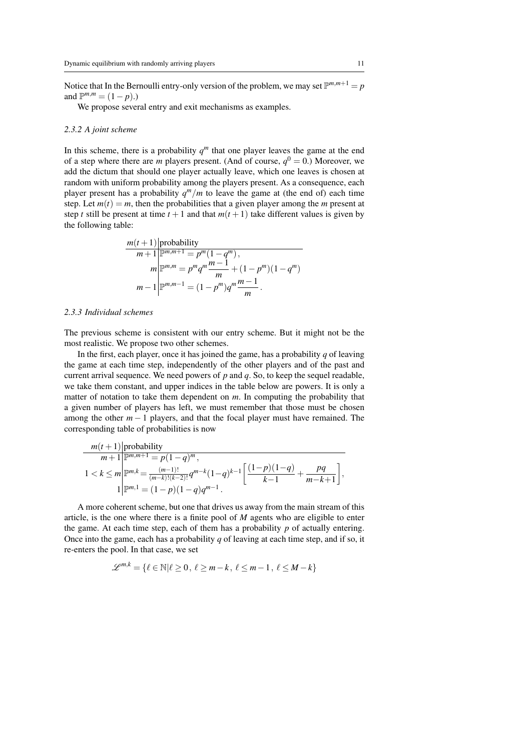Notice that In the Bernoulli entry-only version of the problem, we may set  $\mathbb{P}^{m,m+1} = p$ and  $\mathbb{P}^{m,m} = (1-p)$ .)

We propose several entry and exit mechanisms as examples.

#### *2.3.2 A joint scheme*

In this scheme, there is a probability  $q<sup>m</sup>$  that one player leaves the game at the end of a step where there are *m* players present. (And of course,  $q^0 = 0$ .) Moreover, we add the dictum that should one player actually leave, which one leaves is chosen at random with uniform probability among the players present. As a consequence, each player present has a probability  $q^m/m$  to leave the game at (the end of) each time step. Let  $m(t) = m$ , then the probabilities that a given player among the *m* present at step *t* still be present at time  $t + 1$  and that  $m(t + 1)$  take different values is given by the following table:

$$
m(t+1) \text{probability}
$$
  
\n
$$
m+1 \text{p}^{m,m+1} = p^m (1 - q^m),
$$
  
\n
$$
m \text{p}^{m,m} = p^m q^m \frac{m-1}{m} + (1 - p^m)(1 - q^m)
$$
  
\n
$$
m-1 \text{p}^{m,m-1} = (1 - p^m) q^m \frac{m-1}{m}.
$$

#### *2.3.3 Individual schemes*

The previous scheme is consistent with our entry scheme. But it might not be the most realistic. We propose two other schemes.

In the first, each player, once it has joined the game, has a probability *q* of leaving the game at each time step, independently of the other players and of the past and current arrival sequence. We need powers of *p* and *q*. So, to keep the sequel readable, we take them constant, and upper indices in the table below are powers. It is only a matter of notation to take them dependent on *m*. In computing the probability that a given number of players has left, we must remember that those must be chosen among the other  $m - 1$  players, and that the focal player must have remained. The corresponding table of probabilities is now

$$
\frac{m(t+1) \text{ probability}}{m+1 \text{ } \mathbb{P}^{m,m+1} = p(1-q)^m},
$$
\n
$$
1 < k \le m \text{ } \mathbb{P}^{m,k} = \frac{(m-1)!}{(m-k)!(k-2)!} q^{m-k} (1-q)^{k-1} \left[ \frac{(1-p)(1-q)}{k-1} + \frac{pq}{m-k+1} \right],
$$
\n
$$
1 \text{ } \mathbb{P}^{m,1} = (1-p)(1-q)q^{m-1}.
$$

A more coherent scheme, but one that drives us away from the main stream of this article, is the one where there is a finite pool of *M* agents who are eligible to enter the game. At each time step, each of them has a probability *p* of actually entering. Once into the game, each has a probability *q* of leaving at each time step, and if so, it re-enters the pool. In that case, we set

$$
\mathscr{L}^{m,k} = \{ \ell \in \mathbb{N} | \ell \ge 0, \, \ell \ge m-k, \, \ell \le m-1, \, \ell \le M-k \}
$$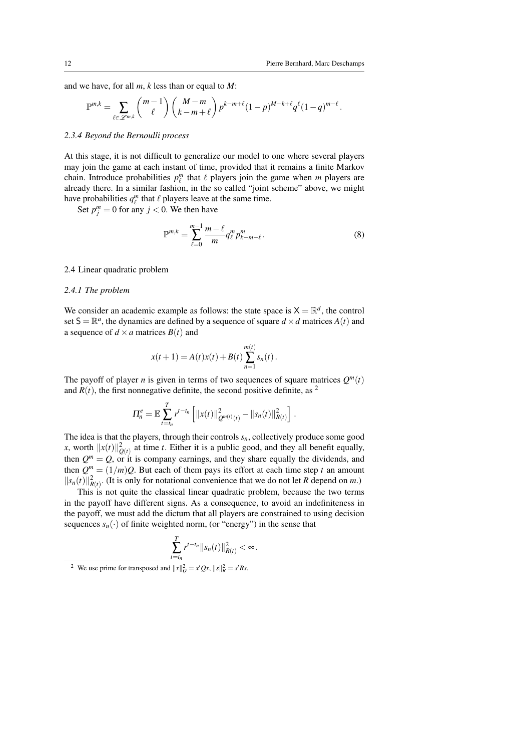.

and we have, for all *m*, *k* less than or equal to *M*:

$$
\mathbb{P}^{m,k} = \sum_{\ell \in \mathscr{L}^{m,k}} \binom{m-1}{\ell} \binom{M-m}{k-m+\ell} p^{k-m+\ell} (1-p)^{M-k+\ell} q^{\ell} (1-q)^{m-\ell}
$$

#### *2.3.4 Beyond the Bernoulli process*

At this stage, it is not difficult to generalize our model to one where several players may join the game at each instant of time, provided that it remains a finite Markov chain. Introduce probabilities  $p_\ell^m$  that  $\ell$  players join the game when  $m$  players are already there. In a similar fashion, in the so called "joint scheme" above, we might have probabilities  $q_{\ell}^{m}$  that  $\ell$  players leave at the same time.

Set  $p_j^m = 0$  for any  $j < 0$ . We then have

$$
\mathbb{P}^{m,k} = \sum_{\ell=0}^{m-1} \frac{m-\ell}{m} q_{\ell}^{m} p_{k-m-\ell}^{m}.
$$
 (8)

#### 2.4 Linear quadratic problem

#### *2.4.1 The problem*

We consider an academic example as follows: the state space is  $X = \mathbb{R}^d$ , the control set  $S = \mathbb{R}^a$ , the dynamics are defined by a sequence of square  $d \times d$  matrices  $A(t)$  and a sequence of  $d \times a$  matrices  $B(t)$  and

$$
x(t+1) = A(t)x(t) + B(t)\sum_{n=1}^{m(t)}s_n(t).
$$

The payoff of player *n* is given in terms of two sequences of square matrices  $Q^m(t)$ and  $R(t)$ , the first nonnegative definite, the second positive definite, as <sup>2</sup>

$$
\Pi_n^e = \mathbb{E} \sum_{t=t_n}^T r^{t-t_n} \left[ ||x(t)||^2_{Q^{m(t)}(t)} - ||s_n(t)||^2_{R(t)} \right].
$$

The idea is that the players, through their controls  $s_n$ , collectively produce some good *x*, worth  $||x(t)||_{Q(t)}^2$  at time *t*. Either it is a public good, and they all benefit equally, then  $Q^m = Q$ , or it is company earnings, and they share equally the dividends, and then  $Q^m = (1/m)Q$ . But each of them pays its effort at each time step *t* an amount  $||s_n(t)||^2_{R(t)}$ . (It is only for notational convenience that we do not let *R* depend on *m*.)

This is not quite the classical linear quadratic problem, because the two terms in the payoff have different signs. As a consequence, to avoid an indefiniteness in the payoff, we must add the dictum that all players are constrained to using decision sequences  $s_n(\cdot)$  of finite weighted norm, (or "energy") in the sense that

$$
\sum_{t=t_n}^T r^{t-t_n} \Vert s_n(t) \Vert_{R(t)}^2 < \infty.
$$

<sup>&</sup>lt;sup>2</sup> We use prime for transposed and  $||x||_Q^2 = x'Qx$ ,  $||s||_R^2 = s'Rs$ .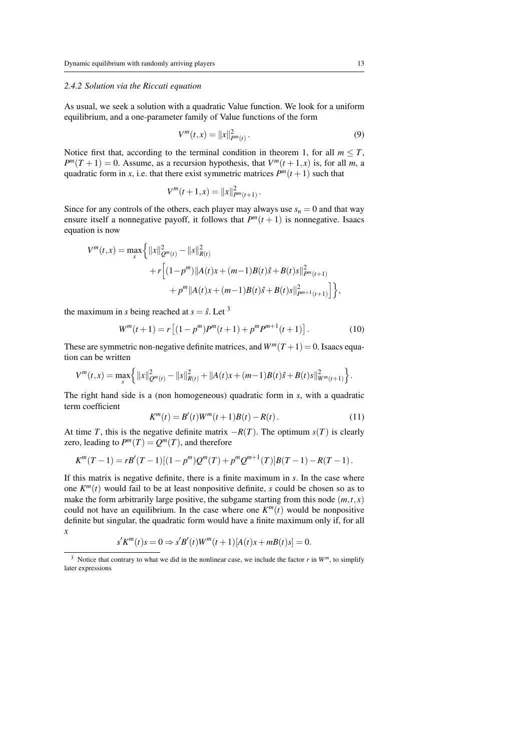#### *2.4.2 Solution via the Riccati equation*

As usual, we seek a solution with a quadratic Value function. We look for a uniform equilibrium, and a one-parameter family of Value functions of the form

$$
V^{m}(t,x) = ||x||_{P^{m}(t)}^{2}.
$$
\n(9)

Notice first that, according to the terminal condition in theorem 1, for all  $m \leq T$ ,  $P^{m}(T + 1) = 0$ . Assume, as a recursion hypothesis, that  $V^{m}(t + 1, x)$  is, for all *m*, a quadratic form in *x*, i.e. that there exist symmetric matrices  $P^m(t+1)$  such that

$$
V^m(t+1,x) = ||x||_{P^m(t+1)}^2.
$$

Since for any controls of the others, each player may always use  $s_n = 0$  and that way ensure itself a nonnegative payoff, it follows that  $P^m(t+1)$  is nonnegative. Isaacs equation is now

$$
V^{m}(t,x) = \max_{s} \left\{ ||x||_{Q^{m}(t)}^{2} - ||s||_{R(t)}^{2}
$$
  
+  $r \left[ (1-p^{m}) ||A(t)x + (m-1)B(t)\hat{s} + B(t)s||_{P^{m}(t+1)}^{2} + p^{m} ||A(t)x + (m-1)B(t)\hat{s} + B(t)s||_{P^{m+1}(t+1)}^{2} \right] \right\},$ 

the maximum in *s* being reached at  $s = \hat{s}$ . Let <sup>3</sup>

$$
W^{m}(t+1) = r [(1 - p^{m})P^{m}(t+1) + p^{m}P^{m+1}(t+1)].
$$
\n(10)

These are symmetric non-negative definite matrices, and  $W^m(T+1) = 0$ . Isaacs equation can be written

$$
V^{m}(t,x)=\max_{s}\left\{\|x\|_{Q^{m}(t)}^{2}-\|s\|_{R(t)}^{2}+\|A(t)x+(m-1)B(t)\hat{s}+B(t)s\|_{W^{m}(t+1)}^{2}\right\}.
$$

The right hand side is a (non homogeneous) quadratic form in *s*, with a quadratic term coefficient

$$
K^{m}(t) = B'(t)W^{m}(t+1)B(t) - R(t).
$$
\n(11)

At time *T*, this is the negative definite matrix  $-R(T)$ . The optimum *s*(*T*) is clearly zero, leading to  $P^m(T) = Q^m(T)$ , and therefore

$$
K^m(T-1) = rB'(T-1)[(1-p^m)Q^m(T) + p^mQ^{m+1}(T)]B(T-1) - R(T-1).
$$

If this matrix is negative definite, there is a finite maximum in *s*. In the case where one  $K^m(t)$  would fail to be at least nonpositive definite, *s* could be chosen so as to make the form arbitrarily large positive, the subgame starting from this node  $(m, t, x)$ could not have an equilibrium. In the case where one  $K^m(t)$  would be nonpositive definite but singular, the quadratic form would have a finite maximum only if, for all *x*

$$
s'K^{m}(t)s = 0 \Rightarrow s'B'(t)W^{m}(t+1)[A(t)x + mB(t)s] = 0.
$$

<sup>&</sup>lt;sup>3</sup> Notice that contrary to what we did in the nonlinear case, we include the factor  $r$  in  $W^m$ , to simplify later expressions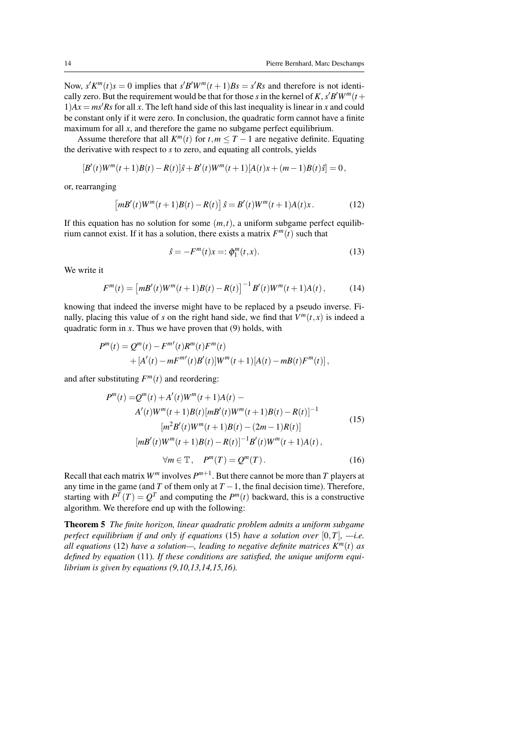Now,  $s'K^m(t)s = 0$  implies that  $s'B'W^m(t+1)Bs = s'Rs$  and therefore is not identically zero. But the requirement would be that for those *s* in the kernel of *K*,  $s'B'W^m(t+$  $1)Ax = ms'Rs$  for all *x*. The left hand side of this last inequality is linear in *x* and could be constant only if it were zero. In conclusion, the quadratic form cannot have a finite maximum for all  $x$ , and therefore the game no subgame perfect equilibrium.

Assume therefore that all  $K^m(t)$  for  $t, m \leq T - 1$  are negative definite. Equating the derivative with respect to *s* to zero, and equating all controls, yields

$$
[B'(t)W^m(t+1)B(t) - R(t)]\hat{s} + B'(t)W^m(t+1)[A(t)x + (m-1)B(t)\hat{s}] = 0,
$$

or, rearranging

$$
\left[mB'(t)W^m(t+1)B(t) - R(t)\right]\hat{s} = B'(t)W^m(t+1)A(t)x.
$$
 (12)

If this equation has no solution for some  $(m, t)$ , a uniform subgame perfect equilibrium cannot exist. If it has a solution, there exists a matrix  $F^m(t)$  such that

$$
\hat{s} = -F^{m}(t)x =: \hat{\phi}_{1}^{m}(t,x).
$$
 (13)

We write it

$$
F^{m}(t) = [mB'(t)W^{m}(t+1)B(t) - R(t)]^{-1}B'(t)W^{m}(t+1)A(t), \qquad (14)
$$

knowing that indeed the inverse might have to be replaced by a pseudo inverse. Finally, placing this value of *s* on the right hand side, we find that  $V^m(t, x)$  is indeed a quadratic form in  $x$ . Thus we have proven that (9) holds, with

$$
P^{m}(t) = Q^{m}(t) - F^{m'}(t)R^{m}(t)F^{m}(t)
$$
  
+ 
$$
[A'(t) - mF^{m'}(t)B'(t)]W^{m}(t+1)[A(t) - mB(t)F^{m}(t)],
$$

and after substituting  $F^m(t)$  and reordering:

$$
P^{m}(t) = Q^{m}(t) + A'(t)W^{m}(t+1)A(t) - A'(t)W^{m}(t+1)B(t)[mB'(t)W^{m}(t+1)B(t) - R(t)]^{-1}
$$
  
\n
$$
[m^{2}B'(t)W^{m}(t+1)B(t) - (2m-1)R(t)]
$$
  
\n
$$
[mB'(t)W^{m}(t+1)B(t) - R(t)]^{-1}B'(t)W^{m}(t+1)A(t),
$$
  
\n
$$
\forall m \in \mathbb{T}, \quad P^{m}(T) = Q^{m}(T).
$$
 (16)

Recall that each matrix  $W^m$  involves  $P^{m+1}$ . But there cannot be more than *T* players at any time in the game (and *T* of them only at  $T - 1$ , the final decision time). Therefore, starting with  $P^{T}(T) = Q^{T}$  and computing the  $P^{m}(t)$  backward, this is a constructive algorithm. We therefore end up with the following:

Theorem 5 *The finite horizon, linear quadratic problem admits a uniform subgame perfect equilibrium if and only if equations* (15) *have a solution over* [0,*T*]*, —i.e. all equations* (12) *have a solution—, leading to negative definite matrices*  $K^m(t)$  *as defined by equation* (11)*. If these conditions are satisfied, the unique uniform equilibrium is given by equations (9,10,13,14,15,16).*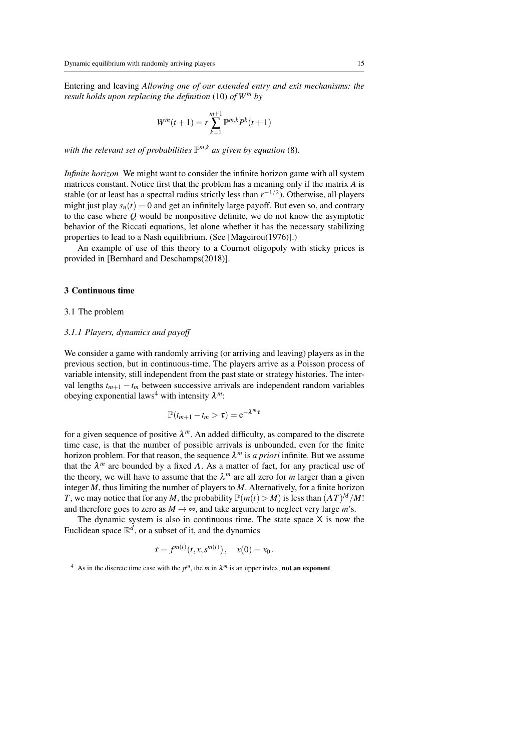Entering and leaving *Allowing one of our extended entry and exit mechanisms: the result holds upon replacing the definition* (10) *of W<sup>m</sup> by*

$$
W^m(t+1) = r \sum_{k=1}^{m+1} \mathbb{P}^{m,k} P^k(t+1)
$$

*with the relevant set of probabilities* P *<sup>m</sup>*,*<sup>k</sup> as given by equation* (8)*.*

*Infinite horizon* We might want to consider the infinite horizon game with all system matrices constant. Notice first that the problem has a meaning only if the matrix *A* is stable (or at least has a spectral radius strictly less than  $r^{-1/2}$ ). Otherwise, all players might just play  $s_n(t) = 0$  and get an infinitely large payoff. But even so, and contrary to the case where *Q* would be nonpositive definite, we do not know the asymptotic behavior of the Riccati equations, let alone whether it has the necessary stabilizing properties to lead to a Nash equilibrium. (See [Mageirou(1976)].)

An example of use of this theory to a Cournot oligopoly with sticky prices is provided in [Bernhard and Deschamps(2018)].

#### 3 Continuous time

#### 3.1 The problem

#### *3.1.1 Players, dynamics and payoff*

We consider a game with randomly arriving (or arriving and leaving) players as in the previous section, but in continuous-time. The players arrive as a Poisson process of variable intensity, still independent from the past state or strategy histories. The interval lengths  $t_{m+1} - t_m$  between successive arrivals are independent random variables obeying exponential laws<sup>4</sup> with intensity  $\lambda^m$ :

$$
\mathbb{P}(t_{m+1}-t_m>\tau)=e^{-\lambda^m\tau}
$$

for a given sequence of positive  $\lambda^m$ . An added difficulty, as compared to the discrete time case, is that the number of possible arrivals is unbounded, even for the finite horizon problem. For that reason, the sequence  $\lambda^m$  is *a priori* infinite. But we assume that the  $\lambda^m$  are bounded by a fixed  $\Lambda$ . As a matter of fact, for any practical use of the theory, we will have to assume that the  $\lambda^m$  are all zero for *m* larger than a given integer *M*, thus limiting the number of players to *M*. Alternatively, for a finite horizon *T*, we may notice that for any *M*, the probability  $\mathbb{P}(m(t) > M)$  is less than  $(\Lambda T)^M / M!$ and therefore goes to zero as  $M \rightarrow \infty$ , and take argument to neglect very large *m*'s.

The dynamic system is also in continuous time. The state space  $X$  is now the Euclidean space  $\mathbb{R}^d$ , or a subset of it, and the dynamics

$$
\dot{x} = f^{m(t)}(t, x, s^{m(t)}), \quad x(0) = x_0.
$$

<sup>&</sup>lt;sup>4</sup> As in the discrete time case with the  $p^m$ , the *m* in  $\lambda^m$  is an upper index, **not an exponent**.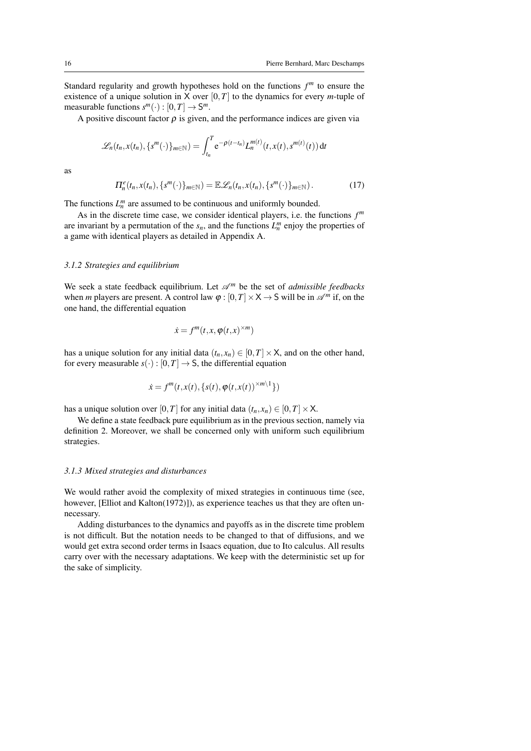Standard regularity and growth hypotheses hold on the functions *f <sup>m</sup>* to ensure the existence of a unique solution in X over  $[0, T]$  to the dynamics for every *m*-tuple of measurable functions  $s^m(\cdot) : [0, T] \to S^m$ .

A positive discount factor  $\rho$  is given, and the performance indices are given via

$$
\mathscr{L}_n(t_n,x(t_n),\{s^m(\cdot)\}_{m\in\mathbb{N}})=\int_{t_n}^T e^{-\rho(t-t_n)}L_n^{m(t)}(t,x(t),s^{m(t)}(t)) dt
$$

as

$$
\Pi_n^e(t_n, x(t_n), \{s^m(\cdot)\}_{m \in \mathbb{N}}) = \mathbb{E}\mathscr{L}_n(t_n, x(t_n), \{s^m(\cdot)\}_{m \in \mathbb{N}}). \tag{17}
$$

The functions  $L_n^m$  are assumed to be continuous and uniformly bounded.

As in the discrete time case, we consider identical players, i.e. the functions *f m* are invariant by a permutation of the  $s_n$ , and the functions  $L_n^m$  enjoy the properties of a game with identical players as detailed in Appendix A.

#### *3.1.2 Strategies and equilibrium*

We seek a state feedback equilibrium. Let  $\mathscr{A}^m$  be the set of *admissible feedbacks* when *m* players are present. A control law  $\varphi$  :  $[0, T] \times X \rightarrow S$  will be in  $\mathscr{A}^m$  if, on the one hand, the differential equation

$$
\dot{x} = f^m(t, x, \varphi(t, x)^{\times m})
$$

has a unique solution for any initial data  $(t_n, x_n) \in [0, T] \times X$ , and on the other hand, for every measurable  $s(\cdot): [0, T] \to S$ , the differential equation

$$
\dot{x} = f^m(t, x(t), \{s(t), \varphi(t, x(t))^{\times m \setminus 1}\})
$$

has a unique solution over [0,*T*] for any initial data  $(t_n, x_n) \in [0, T] \times X$ .

We define a state feedback pure equilibrium as in the previous section, namely via definition 2. Moreover, we shall be concerned only with uniform such equilibrium strategies.

#### *3.1.3 Mixed strategies and disturbances*

We would rather avoid the complexity of mixed strategies in continuous time (see, however, [Elliot and Kalton(1972)]), as experience teaches us that they are often unnecessary.

Adding disturbances to the dynamics and payoffs as in the discrete time problem is not difficult. But the notation needs to be changed to that of diffusions, and we would get extra second order terms in Isaacs equation, due to Ito calculus. All results carry over with the necessary adaptations. We keep with the deterministic set up for the sake of simplicity.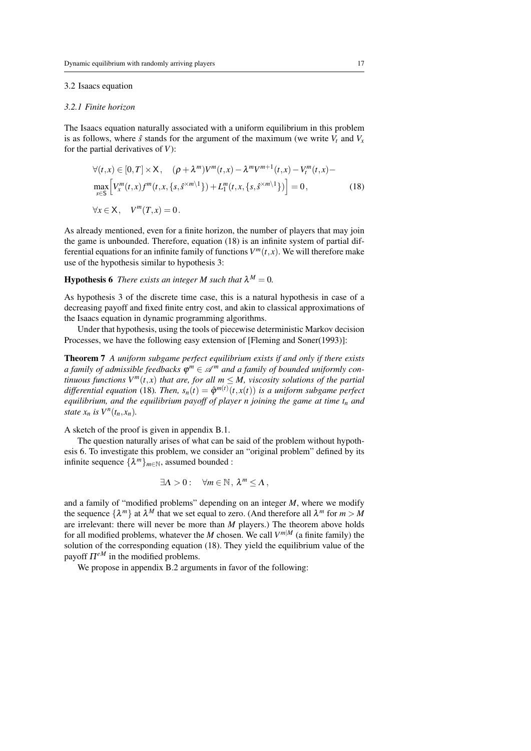#### 3.2 Isaacs equation

#### *3.2.1 Finite horizon*

The Isaacs equation naturally associated with a uniform equilibrium in this problem is as follows, where  $\hat{s}$  stands for the argument of the maximum (we write  $V_t$  and  $V_x$ for the partial derivatives of *V*):

$$
\forall (t,x) \in [0,T] \times \mathsf{X}, \quad (\rho + \lambda^m)V^m(t,x) - \lambda^mV^{m+1}(t,x) - V_t^m(t,x) - \max_{s \in \mathsf{S}} \left[ V_x^m(t,x)f^m(t,x,\{s,s^{\times m\setminus 1}\}) + L_1^m(t,x,\{s,s^{\times m\setminus 1}\}) \right] = 0,
$$
\n
$$
\forall x \in \mathsf{X}, \quad V^m(T,x) = 0.
$$
\n(18)

As already mentioned, even for a finite horizon, the number of players that may join the game is unbounded. Therefore, equation (18) is an infinite system of partial differential equations for an infinite family of functions  $V^m(t, x)$ . We will therefore make use of the hypothesis similar to hypothesis 3:

### **Hypothesis 6** There exists an integer M such that  $\lambda^M = 0$ .

As hypothesis 3 of the discrete time case, this is a natural hypothesis in case of a decreasing payoff and fixed finite entry cost, and akin to classical approximations of the Isaacs equation in dynamic programming algorithms.

Under that hypothesis, using the tools of piecewise deterministic Markov decision Processes, we have the following easy extension of [Fleming and Soner(1993)]:

Theorem 7 *A uniform subgame perfect equilibrium exists if and only if there exists a family of admissible feedbacks* ϕ *<sup>m</sup>* ∈ A *<sup>m</sup> and a family of bounded uniformly continuous functions V<sup>m</sup>(<i>t, x*) *that are, for all m*  $\leq M$ *, viscosity solutions of the partial differential equation* (18). Then,  $s_n(t) = \hat{\varphi}^{m(t)}(t, x(t))$  *is a uniform subgame perfect equilibrium, and the equilibrium payoff of player n joining the game at time t<sup>n</sup> and state*  $x_n$  *is*  $V^n(t_n, x_n)$ *.* 

A sketch of the proof is given in appendix B.1.

The question naturally arises of what can be said of the problem without hypothesis 6. To investigate this problem, we consider an "original problem" defined by its infinite sequence  $\{\lambda^m\}_{m \in \mathbb{N}}$ , assumed bounded :

$$
\exists \Lambda > 0: \quad \forall m \in \mathbb{N}, \, \lambda^m \leq \Lambda \,,
$$

and a family of "modified problems" depending on an integer *M*, where we modify the sequence  $\{\lambda^m\}$  at  $\lambda^M$  that we set equal to zero. (And therefore all  $\lambda^m$  for  $m > M$ are irrelevant: there will never be more than *M* players.) The theorem above holds for all modified problems, whatever the *M* chosen. We call *V <sup>m</sup>*|*<sup>M</sup>* (a finite family) the solution of the corresponding equation (18). They yield the equilibrium value of the payoff  $\Pi^{eM}$  in the modified problems.

We propose in appendix B.2 arguments in favor of the following: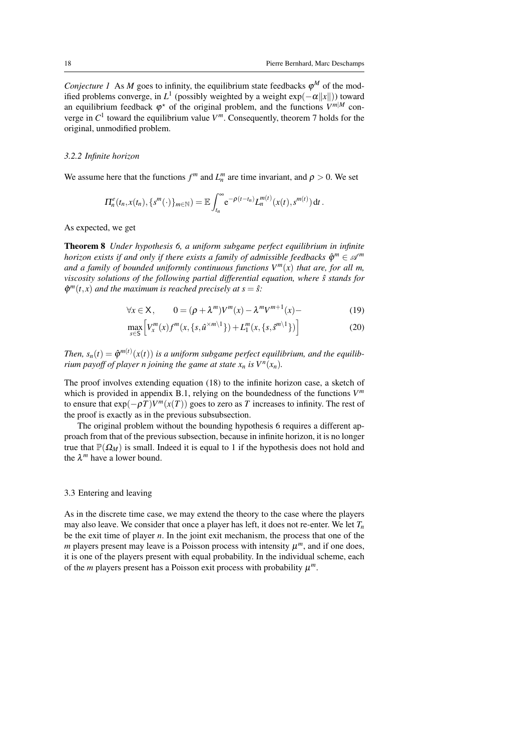*Conjecture 1* As *M* goes to infinity, the equilibrium state feedbacks  $\varphi^M$  of the modified problems converge, in  $L^1$  (possibly weighted by a weight  $\exp(-\alpha ||x||)$ ) toward an equilibrium feedback  $\varphi^*$  of the original problem, and the functions  $V^{m|M}$  converge in  $C^1$  toward the equilibrium value  $V^m$ . Consequently, theorem 7 holds for the original, unmodified problem.

#### *3.2.2 Infinite horizon*

We assume here that the functions  $f^m$  and  $L_n^m$  are time invariant, and  $\rho > 0$ . We set

$$
\Pi_n^e(t_n,x(t_n),\{s^m(\cdot)\}_{m\in\mathbb{N}})=\mathbb{E}\int_{t_n}^{\infty}e^{-\rho(t-t_n)}L_n^{m(t)}(x(t),s^{m(t)})\,dt.
$$

As expected, we get

Theorem 8 *Under hypothesis 6, a uniform subgame perfect equilibrium in infinite horizon exists if and only if there exists a family of admissible feedbacks*  $\hat{\varphi}^m \in \mathcal{A}^m$ *and a family of bounded uniformly continuous functions*  $V^m(x)$  *that are, for all m, viscosity solutions of the following partial differential equation, where*  $\hat{s}$  *stands for*  $\hat{\varphi}^m(t,x)$  and the maximum is reached precisely at  $s = \hat{s}$ .

$$
\forall x \in \mathsf{X}, \qquad 0 = (\rho + \lambda^m)V^m(x) - \lambda^m V^{m+1}(x) \tag{19}
$$

$$
\max_{s \in S} \left[ V_x^m(x) f^m(x, \{s, \hat{u}^{\times m} \}^1) + L_1^m(x, \{s, \hat{s}^{m} \}^1) \right] \tag{20}
$$

*Then,*  $s_n(t) = \hat{\varphi}^{m(t)}(x(t))$  *is a uniform subgame perfect equilibrium, and the equilibrium payoff of player n joining the game at state*  $x_n$  *<i>is*  $V^n(x_n)$ *.* 

The proof involves extending equation (18) to the infinite horizon case, a sketch of which is provided in appendix B.1, relying on the boundedness of the functions *V m* to ensure that  $exp(-\rho T)V^m(x(T))$  goes to zero as *T* increases to infinity. The rest of the proof is exactly as in the previous subsubsection.

The original problem without the bounding hypothesis 6 requires a different approach from that of the previous subsection, because in infinite horizon, it is no longer true that  $\mathbb{P}(\Omega_M)$  is small. Indeed it is equal to 1 if the hypothesis does not hold and the  $\lambda^m$  have a lower bound.

#### 3.3 Entering and leaving

As in the discrete time case, we may extend the theory to the case where the players may also leave. We consider that once a player has left, it does not re-enter. We let  $T<sub>n</sub>$ be the exit time of player *n*. In the joint exit mechanism, the process that one of the  $m$  players present may leave is a Poisson process with intensity  $\mu^m$ , and if one does, it is one of the players present with equal probability. In the individual scheme, each of the *m* players present has a Poisson exit process with probability  $\mu^m$ .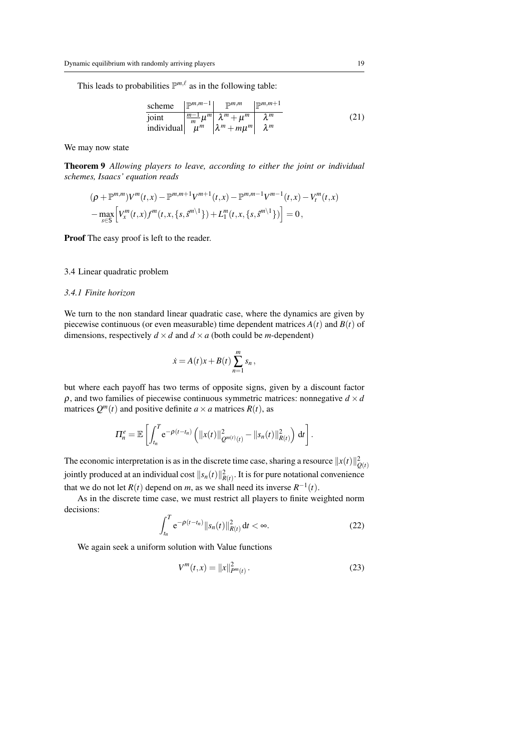This leads to probabilities  $\mathbb{P}^{m,\ell}$  as in the following table:

$$
\frac{\text{scheme}}{\text{joint}} \frac{\mathbb{P}^{m,m-1} \left( \frac{\mathbb{P}^{m,m}}{m} \right) \mathbb{P}^{m,m+1}}{\left(\frac{m-1}{m} \mu^m \right) \lambda^m + \mu^m \lambda^m} \quad \lambda^m
$$
\nindividual

\n
$$
\mu^m \lambda^m + m\mu^m \lambda^m
$$
\n(21)

We may now state

Theorem 9 *Allowing players to leave, according to either the joint or individual schemes, Isaacs' equation reads*

$$
(\rho + \mathbb{P}^{m,m})V^m(t,x) - \mathbb{P}^{m,m+1}V^{m+1}(t,x) - \mathbb{P}^{m,m-1}V^{m-1}(t,x) - V_t^m(t,x) - \max_{s \in S} \left[ V_x^m(t,x) f^m(t,x,\{s,\hat{s}^{m \setminus 1}\}) + L_1^m(t,x,\{s,\hat{s}^{m \setminus 1}\}) \right] = 0,
$$

Proof The easy proof is left to the reader.

#### 3.4 Linear quadratic problem

#### *3.4.1 Finite horizon*

We turn to the non standard linear quadratic case, where the dynamics are given by piecewise continuous (or even measurable) time dependent matrices  $A(t)$  and  $B(t)$  of dimensions, respectively  $d \times d$  and  $d \times a$  (both could be *m*-dependent)

$$
\dot{x} = A(t)x + B(t) \sum_{n=1}^{m} s_n,
$$

but where each payoff has two terms of opposite signs, given by a discount factor ρ, and two families of piecewise continuous symmetric matrices: nonnegative *d* ×*d* matrices  $Q^m(t)$  and positive definite  $a \times a$  matrices  $R(t)$ , as

$$
\Pi_n^e = \mathbb{E}\left[\int_{t_n}^T e^{-\rho(t-t_n)} \left(||x(t)||_{Q^{m(t)}(t)}^2 - ||s_n(t)||_{R(t)}^2\right) dt\right].
$$

The economic interpretation is as in the discrete time case, sharing a resource  $||x(t)||_{Q(t)}^2$ jointly produced at an individual cost  $||s_n(t)||^2_{R(t)}$ . It is for pure notational convenience that we do not let  $R(t)$  depend on *m*, as we shall need its inverse  $R^{-1}(t)$ .

As in the discrete time case, we must restrict all players to finite weighted norm decisions:

$$
\int_{t_n}^T e^{-\rho(t-t_n)} \|s_n(t)\|_{R(t)}^2 dt < \infty.
$$
 (22)

We again seek a uniform solution with Value functions

$$
V^{m}(t,x) = ||x||_{P^{m}(t)}^{2}.
$$
\n(23)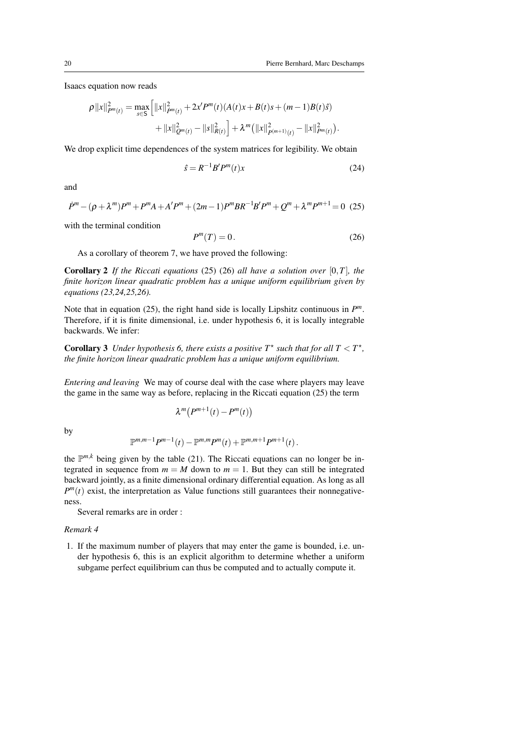Isaacs equation now reads

$$
\rho ||x||_{P^{m}(t)}^{2} = \max_{s \in S} \left[ ||x||_{P^{m}(t)}^{2} + 2x'P^{m}(t)(A(t)x + B(t)s + (m-1)B(t)\hat{s}) + ||x||_{Q^{m}(t)}^{2} - ||s||_{R(t)}^{2} \right] + \lambda^{m} (||x||_{P^{m}(t)}^{2} - ||x||_{P^{m}(t)}^{2}).
$$

We drop explicit time dependences of the system matrices for legibility. We obtain

$$
\hat{s} = R^{-1}B'P^m(t)x\tag{24}
$$

and

$$
\dot{P}^{m} - (\rho + \lambda^{m})P^{m} + P^{m}A + A'P^{m} + (2m - 1)P^{m}BR^{-1}B'P^{m} + Q^{m} + \lambda^{m}P^{m+1} = 0
$$
 (25)

with the terminal condition

$$
P^m(T) = 0.\t(26)
$$

As a corollary of theorem 7, we have proved the following:

Corollary 2 *If the Riccati equations* (25) (26) *all have a solution over* [0,*T*]*, the finite horizon linear quadratic problem has a unique uniform equilibrium given by equations (23,24,25,26).*

Note that in equation (25), the right hand side is locally Lipshitz continuous in *P m*. Therefore, if it is finite dimensional, i.e. under hypothesis 6, it is locally integrable backwards. We infer:

**Corollary 3** Under hypothesis 6, there exists a positive  $T^*$  such that for all  $T < T^*$ , *the finite horizon linear quadratic problem has a unique uniform equilibrium.*

*Entering and leaving* We may of course deal with the case where players may leave the game in the same way as before, replacing in the Riccati equation (25) the term

$$
\lambda^m\big(P^{m+1}(t)-P^m(t)\big)
$$

by

$$
\mathbb{P}^{m,m-1}P^{m-1}(t)-\mathbb{P}^{m,m}P^{m}(t)+\mathbb{P}^{m,m+1}P^{m+1}(t).
$$

the  $\mathbb{P}^{m,k}$  being given by the table (21). The Riccati equations can no longer be integrated in sequence from  $m = M$  down to  $m = 1$ . But they can still be integrated backward jointly, as a finite dimensional ordinary differential equation. As long as all  $P^{m}(t)$  exist, the interpretation as Value functions still guarantees their nonnegativeness.

Several remarks are in order :

*Remark 4*

1. If the maximum number of players that may enter the game is bounded, i.e. under hypothesis 6, this is an explicit algorithm to determine whether a uniform subgame perfect equilibrium can thus be computed and to actually compute it.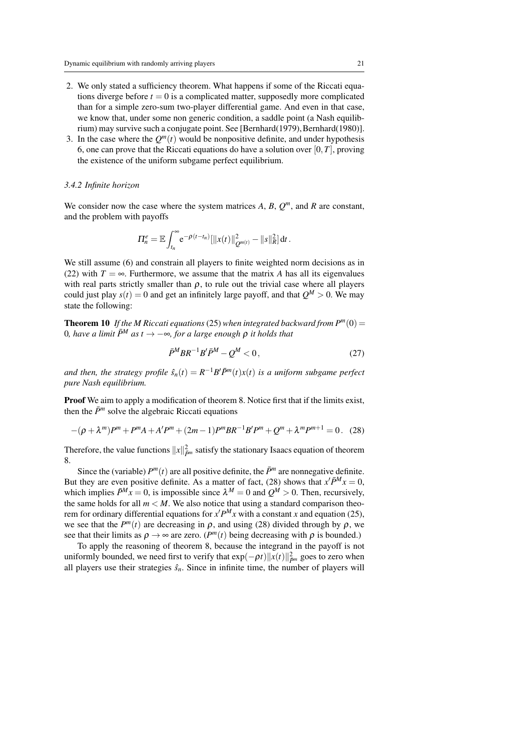- 2. We only stated a sufficiency theorem. What happens if some of the Riccati equations diverge before  $t = 0$  is a complicated matter, supposedly more complicated than for a simple zero-sum two-player differential game. And even in that case, we know that, under some non generic condition, a saddle point (a Nash equilibrium) may survive such a conjugate point. See [Bernhard(1979), Bernhard(1980)].
- 3. In the case where the  $Q^m(t)$  would be nonpositive definite, and under hypothesis 6, one can prove that the Riccati equations do have a solution over [0,*T*], proving the existence of the uniform subgame perfect equilibrium.

#### *3.4.2 Infinite horizon*

We consider now the case where the system matrices  $A$ ,  $B$ ,  $Q^m$ , and  $R$  are constant, and the problem with payoffs

$$
\Pi_n^e = \mathbb{E} \int_{t_n}^{\infty} e^{-\rho(t-t_n)} \left[ ||x(t)||^2_{Q^{m(t)}} - ||s||^2_R \right] dt.
$$

We still assume (6) and constrain all players to finite weighted norm decisions as in (22) with  $T = \infty$ . Furthermore, we assume that the matrix *A* has all its eigenvalues with real parts strictly smaller than  $\rho$ , to rule out the trivial case where all players could just play  $s(t) = 0$  and get an infinitely large payoff, and that  $Q^M > 0$ . We may state the following:

**Theorem 10** If the M Riccati equations (25) when integrated backward from  $P^m(0)$  = *O*, have a limit  $\bar{P}^M$  as  $t$  → −∞, for a large enough  $ρ$  it holds that

$$
\bar{P}^M B R^{-1} B' \bar{P}^M - Q^M < 0,\tag{27}
$$

*and then, the strategy profile*  $\hat{s}_n(t) = R^{-1}B'\bar{P}^m(t)x(t)$  *is a uniform subgame perfect pure Nash equilibrium.*

Proof We aim to apply a modification of theorem 8. Notice first that if the limits exist, then the  $\bar{P}^m$  solve the algebraic Riccati equations

$$
-(\rho + \lambda^m)P^m + P^m A + A' P^m + (2m - 1)P^m B R^{-1} B' P^m + Q^m + \lambda^m P^{m+1} = 0. \quad (28)
$$

Therefore, the value functions  $||x||_{\tilde{P}^m}^2$  satisfy the stationary Isaacs equation of theorem 8.

Since the (variable)  $P^m(t)$  are all positive definite, the  $\bar{P}^m$  are nonnegative definite. But they are even positive definite. As a matter of fact, (28) shows that  $x'\bar{P}^M x = 0$ , which implies  $\bar{P}^M x = 0$ , is impossible since  $\lambda^M = 0$  and  $Q^M > 0$ . Then, recursively, the same holds for all  $m < M$ . We also notice that using a standard comparison theorem for ordinary differential equations for  $x'P^M x$  with a constant *x* and equation (25), we see that the  $P^m(t)$  are decreasing in  $\rho$ , and using (28) divided through by  $\rho$ , we see that their limits as  $\rho \rightarrow \infty$  are zero. (*P<sup>m</sup>*(*t*) being decreasing with  $\rho$  is bounded.)

To apply the reasoning of theorem 8, because the integrand in the payoff is not uniformly bounded, we need first to verify that  $\exp(-\rho t) \|x(t)\|^2_{\tilde{P}^m}$  goes to zero when all players use their strategies  $\hat{s}_n$ . Since in infinite time, the number of players will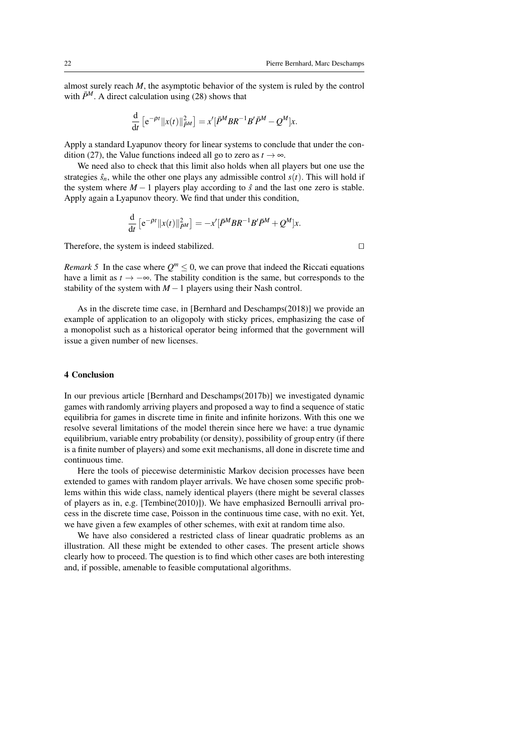almost surely reach *M*, the asymptotic behavior of the system is ruled by the control with  $\bar{P}^M$ . A direct calculation using (28) shows that

$$
\frac{\mathrm{d}}{\mathrm{d}t}\left[e^{-\rho t}\|x(t)\|_{\bar{P}^M}^2\right] = x'\left[\bar{P}^M B R^{-1} B'\bar{P}^M - Q^M\right]x.
$$

Apply a standard Lyapunov theory for linear systems to conclude that under the condition (27), the Value functions indeed all go to zero as  $t \to \infty$ .

We need also to check that this limit also holds when all players but one use the strategies  $\hat{s}_n$ , while the other one plays any admissible control  $s(t)$ . This will hold if the system where  $M - 1$  players play according to  $\hat{s}$  and the last one zero is stable. Apply again a Lyapunov theory. We find that under this condition,

$$
\frac{\mathrm{d}}{\mathrm{d}t}\left[e^{-\rho t}\|x(t)\|_{\bar{P}^M}^2\right] = -x'\left[\bar{P}^M B R^{-1} B'\bar{P}^M + Q^M\right]x.
$$

Therefore, the system is indeed stabilized.  $\Box$ 

*Remark 5* In the case where  $Q^m \leq 0$ , we can prove that indeed the Riccati equations have a limit as  $t \to -\infty$ . The stability condition is the same, but corresponds to the stability of the system with  $M-1$  players using their Nash control.

As in the discrete time case, in [Bernhard and Deschamps(2018)] we provide an example of application to an oligopoly with sticky prices, emphasizing the case of a monopolist such as a historical operator being informed that the government will issue a given number of new licenses.

#### 4 Conclusion

In our previous article [Bernhard and Deschamps(2017b)] we investigated dynamic games with randomly arriving players and proposed a way to find a sequence of static equilibria for games in discrete time in finite and infinite horizons. With this one we resolve several limitations of the model therein since here we have: a true dynamic equilibrium, variable entry probability (or density), possibility of group entry (if there is a finite number of players) and some exit mechanisms, all done in discrete time and continuous time.

Here the tools of piecewise deterministic Markov decision processes have been extended to games with random player arrivals. We have chosen some specific problems within this wide class, namely identical players (there might be several classes of players as in, e.g. [Tembine(2010)]). We have emphasized Bernoulli arrival process in the discrete time case, Poisson in the continuous time case, with no exit. Yet, we have given a few examples of other schemes, with exit at random time also.

We have also considered a restricted class of linear quadratic problems as an illustration. All these might be extended to other cases. The present article shows clearly how to proceed. The question is to find which other cases are both interesting and, if possible, amenable to feasible computational algorithms.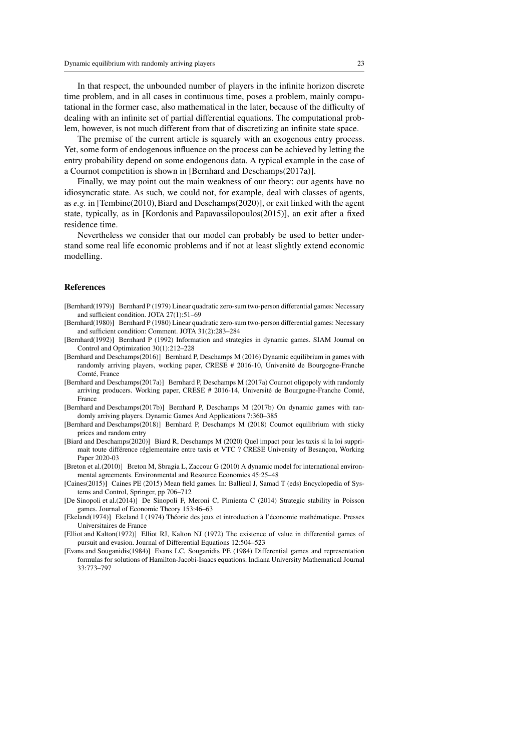In that respect, the unbounded number of players in the infinite horizon discrete time problem, and in all cases in continuous time, poses a problem, mainly computational in the former case, also mathematical in the later, because of the difficulty of dealing with an infinite set of partial differential equations. The computational problem, however, is not much different from that of discretizing an infinite state space.

The premise of the current article is squarely with an exogenous entry process. Yet, some form of endogenous influence on the process can be achieved by letting the entry probability depend on some endogenous data. A typical example in the case of a Cournot competition is shown in [Bernhard and Deschamps(2017a)].

Finally, we may point out the main weakness of our theory: our agents have no idiosyncratic state. As such, we could not, for example, deal with classes of agents, as *e.g.* in [Tembine(2010),Biard and Deschamps(2020)], or exit linked with the agent state, typically, as in [Kordonis and Papavassilopoulos(2015)], an exit after a fixed residence time.

Nevertheless we consider that our model can probably be used to better understand some real life economic problems and if not at least slightly extend economic modelling.

#### References

- [Bernhard(1979)] Bernhard P (1979) Linear quadratic zero-sum two-person differential games: Necessary and sufficient condition. JOTA 27(1):51–69
- [Bernhard(1980)] Bernhard P (1980) Linear quadratic zero-sum two-person differential games: Necessary and sufficient condition: Comment. JOTA 31(2):283–284
- [Bernhard(1992)] Bernhard P (1992) Information and strategies in dynamic games. SIAM Journal on Control and Optimization 30(1):212–228
- [Bernhard and Deschamps(2016)] Bernhard P, Deschamps M (2016) Dynamic equilibrium in games with randomly arriving players, working paper, CRESE # 2016-10, Université de Bourgogne-Franche Comté, France
- [Bernhard and Deschamps(2017a)] Bernhard P, Deschamps M (2017a) Cournot oligopoly with randomly arriving producers. Working paper, CRESE # 2016-14, Université de Bourgogne-Franche Comté, France
- [Bernhard and Deschamps(2017b)] Bernhard P, Deschamps M (2017b) On dynamic games with randomly arriving players. Dynamic Games And Applications 7:360–385
- [Bernhard and Deschamps(2018)] Bernhard P, Deschamps M (2018) Cournot equilibrium with sticky prices and random entry
- [Biard and Deschamps(2020)] Biard R, Deschamps M (2020) Quel impact pour les taxis si la loi supprimait toute différence réglementaire entre taxis et VTC ? CRESE University of Besançon, Working Paper 2020-03
- [Breton et al.(2010)] Breton M, Sbragia L, Zaccour G (2010) A dynamic model for international environmental agreements. Environmental and Resource Economics 45:25–48
- [Caines(2015)] Caines PE (2015) Mean field games. In: Ballieul J, Samad T (eds) Encyclopedia of Systems and Control, Springer, pp 706–712
- [De Sinopoli et al.(2014)] De Sinopoli F, Meroni C, Pimienta C (2014) Strategic stability in Poisson games. Journal of Economic Theory 153:46–63
- [Ekeland(1974)] Ekeland I (1974) Théorie des jeux et introduction à l'économie mathématique. Presses Universitaires de France
- [Elliot and Kalton(1972)] Elliot RJ, Kalton NJ (1972) The existence of value in differential games of pursuit and evasion. Journal of Differential Equations 12:504–523
- [Evans and Souganidis(1984)] Evans LC, Souganidis PE (1984) Differential games and representation formulas for solutions of Hamilton-Jacobi-Isaacs equations. Indiana University Mathematical Journal 33:773–797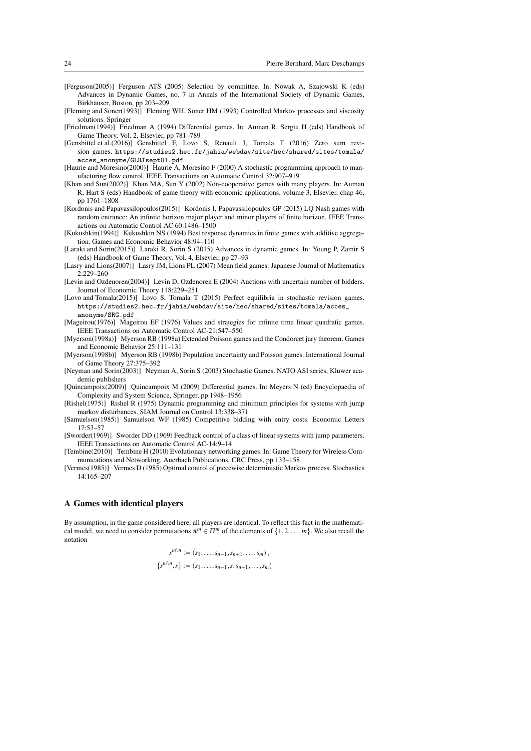- [Ferguson(2005)] Ferguson ATS (2005) Selection by committee. In: Nowak A, Szajowski K (eds) Advances in Dynamic Games, no. 7 in Annals of the International Society of Dynamic Games, Birkhäuser, Boston, pp 203–209
- [Fleming and Soner(1993)] Fleming WH, Soner HM (1993) Controlled Markov processes and viscosity solutions. Springer
- [Friedman(1994)] Friedman A (1994) Differential games. In: Auman R, Sergiu H (eds) Handbook of Game Theory, Vol. 2, Elsevier, pp 781–789
- [Gensbittel et al.(2016)] Gensbittel F, Lovo S, Renault J, Tomala T (2016) Zero sum revision games. https://studies2.hec.fr/jahia/webdav/site/hec/shared/sites/tomala/ acces\_anonyme/GLRTsept01.pdf
- [Haurie and Moresino(2000)] Haurie A, Moresino F (2000) A stochastic programming approach to manufacturing flow control. IEEE Transactions on Automatic Control 32:907–919
- [Khan and Sun(2002)] Khan MA, Sun Y (2002) Non-cooperative games with many players. In: Auman R, Hart S (eds) Handbook of game theory with economic applications, volume 3, Elsevier, chap 46, pp 1761–1808
- [Kordonis and Papavassilopoulos(2015)] Kordonis I, Papavassilopoulos GP (2015) LQ Nash games with random entrance: An infinite horizon major player and minor players of finite horizon. IEEE Transactions on Automatic Control AC 60:1486–1500
- [Kukushkin(1994)] Kukushkin NS (1994) Best response dynamics in finite games with additive aggregation. Games and Economic Behavior 48:94–110
- [Laraki and Sorin(2015)] Laraki R, Sorin S (2015) Advances in dynamic games. In: Young P, Zamir S (eds) Handbook of Game Theory, Vol. 4, Elsevier, pp 27–93
- [Lasry and Lions(2007)] Lasry JM, Lions PL (2007) Mean field games. Japanese Journal of Mathematics 2:229–260
- [Levin and Ozdenoren(2004)] Levin D, Ozdenoren E (2004) Auctions with uncertain number of bidders. Journal of Economic Theory 118:229–251
- [Lovo and Tomala(2015)] Lovo S, Tomala T (2015) Perfect equilibria in stochastic revision games. https://studies2.hec.fr/jahia/webdav/site/hec/shared/sites/tomala/acces\_ anonyme/SRG.pdf
- [Mageirou(1976)] Mageirou EF (1976) Values and strategies for infinite time linear quadratic games. IEEE Transactions on Automatic Control AC-21:547–550
- [Myerson(1998a)] Myerson RB (1998a) Extended Poisson games and the Condorcet jury theorem. Games and Economic Behavior 25:111–131
- [Myerson(1998b)] Myerson RB (1998b) Population uncertainty and Poisson games. International Journal of Game Theory 27:375–392
- [Neyman and Sorin(2003)] Neyman A, Sorin S (2003) Stochastic Games. NATO ASI series, Kluwer academic publishers
- [Quincampoix(2009)] Quincampoix M (2009) Differential games. In: Meyers N (ed) Encyclopaedia of Complexity and System Science, Springer, pp 1948–1956
- [Rishel(1975)] Rishel R (1975) Dynamic programming and minimum principles for systems with jump markov disturbances. SIAM Journal on Control 13:338–371
- [Samuelson(1985)] Samuelson WF (1985) Competitive bidding with entry costs. Economic Letters 17:53–57
- [Sworder(1969)] Sworder DD (1969) Feedback control of a class of linear systems with jump parameters. IEEE Transactions on Automatic Control AC-14:9–14
- [Tembine(2010)] Tembine H (2010) Evolutionary networking games. In: Game Theory for Wireless Communications and Networking, Auerbach Publications, CRC Press, pp 133–158
- [Vermes(1985)] Vermes D (1985) Optimal control of piecewise deterministic Markov process. Stochastics  $14.165 - 207$

#### A Games with identical players

By assumption, in the game considered here, all players are identical. To reflect this fact in the mathematical model, we need to consider permutations  $\pi^m \in \Pi^m$  of the elements of  $\{1, 2, ..., m\}$ . We also recall the notation

$$
s^{m \setminus n} := (s_1, \dots, s_{n-1}, s_{n+1}, \dots, s_m),
$$
  

$$
\{s^{m \setminus n}, s\} := (s_1, \dots, s_{n-1}, s, s_{n+1}, \dots, s_m)
$$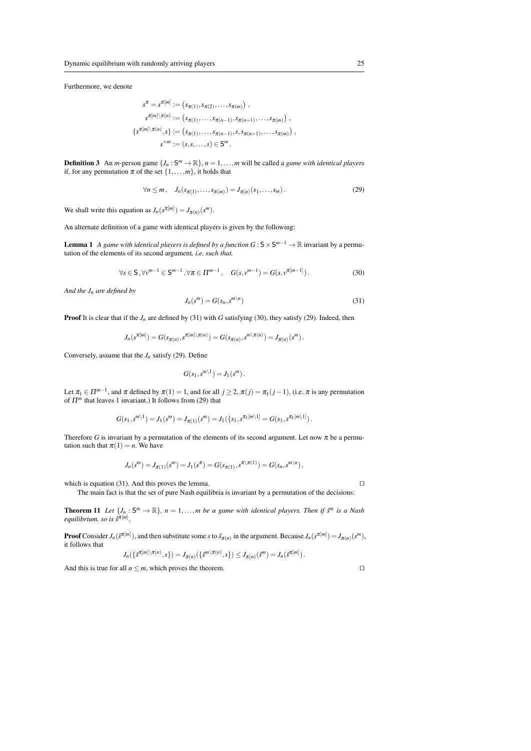Furthermore, we denote

$$
s^{\pi} = s^{\pi[m]} := (s_{\pi(1)}, s_{\pi(2)}, \dots, s_{\pi(m)}) ,
$$
  
\n
$$
s^{\pi[m]\setminus \pi(n)} := (s_{\pi(1)}, \dots, s_{\pi(n-1)}, s_{\pi(n+1)}, \dots, s_{\pi(m)}) ,
$$
  
\n
$$
\{s^{\pi[m]\setminus \pi(n)}, s\} := (s_{\pi(1)}, \dots, s_{\pi(n-1)}, s, s_{\pi(n+1)}, \dots, s_{\pi(m)}) ,
$$
  
\n
$$
s^{\times m} := (s, s, \dots, s) \in S^m .
$$

**Definition 3** An *m*-person game  $\{J_n : S^m \to \mathbb{R}\}, n = 1, \ldots, m$  will be called a *game with identical players* if, for any permutation  $\pi$  of the set  $\{1,\ldots,m\}$ , it holds that

$$
\forall n \leq m, \quad J_n(s_{\pi(1)}, \dots, s_{\pi(m)}) = J_{\pi(n)}(s_1, \dots, s_m). \tag{29}
$$

We shall write this equation as  $J_n(s^{\pi[m]}) = J_{\pi(n)}(s^m)$ .

An alternate definition of a game with identical players is given by the following:

**Lemma 1** A game with identical players is defined by a function  $G: S \times S^{m-1} \to \mathbb{R}$  invariant by a permutation of the elements of its second argument*, i.e. such that,*

$$
\forall s \in S, \forall v^{m-1} \in S^{m-1}, \forall \pi \in \Pi^{m-1}, \quad G(s, v^{m-1}) = G(s, v^{\pi[m-1]}).
$$
 (30)

*And the J<sup>n</sup> are defined by*

$$
J_n(s^m) = G(s_n, s^{m \backslash n})
$$
\n(31)

**Proof** It is clear that if the  $J_n$  are defined by (31) with *G* satisfying (30), they satisfy (29). Indeed, then

$$
J_n(s^{\pi[m]}) = G(s_{\pi(n)}, s^{\pi[m]\setminus \pi(n)}) = G(s_{\pi(n)}, s^{m\setminus \pi(n)}) = J_{\pi(n)}(s^m).
$$

Conversely, assume that the  $J_n$  satisfy (29). Define

$$
G(s_1,s^{m\setminus 1})=J_1(s^m).
$$

Let  $\pi_1 \in \Pi^{m-1}$ , and  $\pi$  defined by  $\pi(1) = 1$ , and for all  $j \ge 2$ ,  $\pi(j) = \pi_1(j-1)$ . (i.e.  $\pi$  is any permutation of Π*<sup>m</sup>* that leaves 1 invariant.) It follows from (29) that

$$
G(s_1, s^{m\setminus 1}) = J_1(s^m) = J_{\pi(1)}(s^m) = J_1(\{s_1, s^{\pi_1[m\setminus 1]} = G(s_1, s^{\pi_1[m\setminus 1]})\}.
$$

Therefore *G* is invariant by a permutation of the elements of its second argument. Let now  $\pi$  be a permutation such that  $\pi(1) = n$ . We have

$$
J_n(s^m) = J_{\pi(1)}(s^m) = J_1(s^{\pi}) = G(s_{\pi(1)}, s^{\pi \setminus \pi(1)}) = G(s_n, s^{m \setminus n}),
$$

which is equation (31). And this proves the lemma.  $\Box$ 

The main fact is that the set of pure Nash equilibria is invariant by a permutation of the decisions:

**Theorem 11** Let  $\{J_n : S^m \to \mathbb{R}\}$ ,  $n = 1, ..., m$  be a game with identical players. Then if  $S^m$  is a Nash *equilibrium, so is s*ˆ π[*m*] *.*

**Proof** Consider  $J_n(\hat{s}^{\pi[m]})$ , and then substitute some *s* to  $\hat{s}_{\pi(n)}$  in the argument. Because  $J_n(s^{\pi[m]}) = J_{\pi(n)}(s^m)$ , it follows that

$$
J_n(\{\hat{s}^{\pi[m]\setminus\pi(n)},s\})=J_{\pi(n)}(\{\hat{s}^{\mathfrak{m}\setminus\pi(n)},s\})\leq J_{\pi(n)}(\hat{s}^{\mathfrak{m}})=J_n(\hat{s}^{\pi[m]})\,.
$$

And this is true for all  $n \le m$ , which proves the theorem.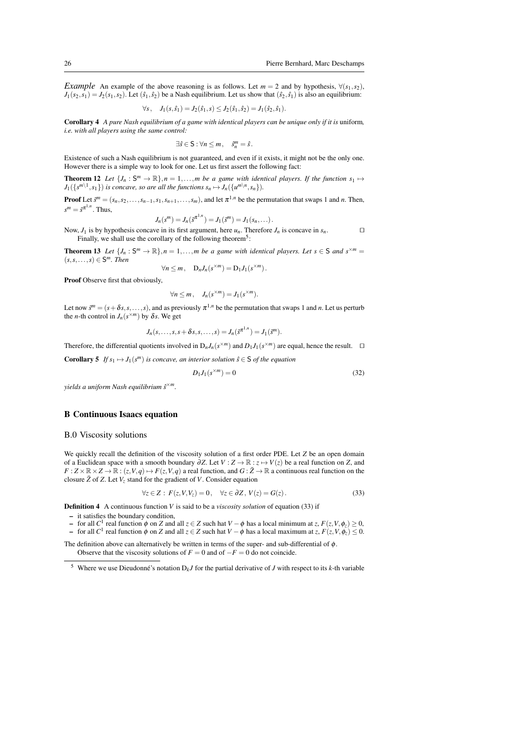*Example* An example of the above reasoning is as follows. Let  $m = 2$  and by hypothesis,  $\forall (s_1, s_2)$ ,  $J_1(s_2, s_1) = J_2(s_1, s_2)$ . Let  $(s_1, s_2)$  be a Nash equilibrium. Let us show that  $(s_2, s_1)$  is also an equilibrium:

$$
\forall s, \quad J_1(s, \hat{s}_1) = J_2(\hat{s}_1, s) \le J_2(\hat{s}_1, \hat{s}_2) = J_1(\hat{s}_2, \hat{s}_1).
$$

Corollary 4 *A pure Nash equilibrium of a game with identical players can be unique only if it is* uniform*, i.e. with all players using the same control:*

$$
\exists \hat{s} \in \mathsf{S} : \forall n \leq m \,, \quad \hat{s}_n^m = \hat{s} \,.
$$

Existence of such a Nash equilibrium is not guaranteed, and even if it exists, it might not be the only one. However there is a simple way to look for one. Let us first assert the following fact:

**Theorem 12** Let  $\{J_n : S^m \to \mathbb{R}\}, n = 1, \ldots, m$  be a game with identical players. If the function  $s_1 \mapsto$  $J_1({x^{m\setminus1}, s_1})$  *is concave, so are all the functions*  $s_n \mapsto J_n({u^{m\setminus n}, s_n})$ .

**Proof** Let  $\tilde{s}^m = (s_n, s_2, \ldots, s_{n-1}, s_1, s_{n+1}, \ldots, s_m)$ , and let  $\pi^{1,n}$  be the permutation that swaps 1 and *n*. Then,  $s^m = \tilde{s}^{\pi^{1,n}}$ . Thus,

$$
J_n(s^m) = J_n(\tilde{s}^{n+n}) = J_1(\tilde{s}^m) = J_1(s_n, \dots).
$$

Now,  $J_1$  is by hypothesis concave in its first argument, here  $u_n$ . Therefore  $J_n$  is concave in  $s_n$ . Finally, we shall use the corollary of the following theorem<sup>5</sup>:

**Theorem 13** Let  $\{J_n : S^m \to \mathbb{R}\}, n = 1, \ldots, m$  be a game with identical players. Let  $s \in S$  and  $s^{\times m} =$  $(s, s, \ldots, s) \in S^m$ . Then

$$
\forall n \leq m, \quad D_n J_n(s^{\times m}) = D_1 J_1(s^{\times m}).
$$

Proof Observe first that obviously,

$$
\forall n \leq m, \quad J_n(s^{\times m}) = J_1(s^{\times m}).
$$

Let now  $\tilde{s}^m = (s + \delta s, s, \dots, s)$ , and as previously  $\pi^{1,n}$  be the permutation that swaps 1 and *n*. Let us perturb the *n*-th control in  $J_n(s^{m})$  by  $\delta s$ . We get

$$
J_n(s,\ldots,s,s+\delta s,s,\ldots,s)=J_n(\tilde{s}^{\pi^{1,n}})=J_1(\tilde{s}^m).
$$

Therefore, the differential quotients involved in  $D_n J_n(s^{\times m})$  and  $D_1 J_1(s^{\times m})$  are equal, hence the result.  $\square$ 

**Corollary 5** If 
$$
s_1 \mapsto J_1(s^m)
$$
 is concave, an interior solution  $\hat{s} \in S$  of the equation

$$
D_1 J_1(s^{\times m}) = 0 \tag{32}
$$

*yields a uniform Nash equilibrium s*ˆ <sup>×</sup>*m.*

#### B Continuous Isaacs equation

#### B.0 Viscosity solutions

We quickly recall the definition of the viscosity solution of a first order PDE. Let *Z* be an open domain of a Euclidean space with a smooth boundary ∂*Z*. Let *V* : *Z* → R : *z* 7→ *V*(*z*) be a real function on *Z*, and  $F: Z \times \mathbb{R} \times Z \to \mathbb{R}: (z, V, q) \mapsto F(z, V, q)$  a real function, and  $G: \bar{Z} \to \mathbb{R}$  a continuous real function on the closure  $\bar{Z}$  of  $Z$ . Let  $V_z$  stand for the gradient of  $V$ . Consider equation

$$
\forall z \in Z : F(z, V, V_z) = 0, \quad \forall z \in \partial Z, V(z) = G(z).
$$
\n(33)

Definition 4 A continuous function *V* is said to be a *viscosity solution* of equation (33) if

- it satisfies the boundary condition,
- $\vdash$  for all *C*<sup>1</sup> real function φ on *Z* and all *z* ∈ *Z* such hat *V* − φ has a local minimum at *z*, *F*(*z*,*V*,  $φ_z$ ) ≥ 0,

 $\vdash$  for all *C*<sup>1</sup> real function φ on *Z* and all *z* ∈ *Z* such hat  $V - φ$  has a local maximum at *z*,  $F(z, V, φ_z) ≤ 0$ . The definition above can alternatively be written in terms of the super- and sub-differential of  $\phi$ .

Observe that the viscosity solutions of  $F = 0$  and of  $-F = 0$  do not coincide.

<sup>&</sup>lt;sup>5</sup> Where we use Dieudonné's notation  $D_k J$  for the partial derivative of *J* with respect to its *k*-th variable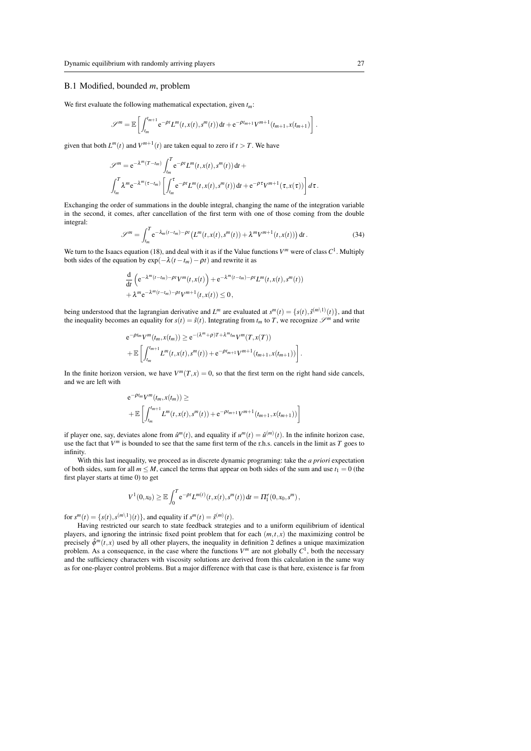#### B.1 Modified, bounded *m*, problem

We first evaluate the following mathematical expectation, given *tm*:

$$
\mathscr{S}^{m} = \mathbb{E}\left[\int_{t_m}^{t_{m+1}} e^{-\rho t} L^{m}(t, x(t), s^{m}(t)) dt + e^{-\rho t_{m+1}} V^{m+1}(t_{m+1}, x(t_{m+1})\right]
$$

given that both  $L^m(t)$  and  $V^{m+1}(t)$  are taken equal to zero if  $t > T$ . We have

$$
\mathscr{S}^{m} = e^{-\lambda^{m}(T-t_{m})} \int_{t_{m}}^{T} e^{-\rho t} L^{m}(t, x(t), s^{m}(t)) dt +
$$
  

$$
\int_{t_{m}}^{T} \lambda^{m} e^{-\lambda^{m}(\tau-t_{m})} \left[ \int_{t_{m}}^{\tau} e^{-\rho t} L^{m}(t, x(t), s^{m}(t)) dt + e^{-\rho \tau} V^{m+1}(\tau, x(\tau)) \right] d\tau.
$$

Exchanging the order of summations in the double integral, changing the name of the integration variable in the second, it comes, after cancellation of the first term with one of those coming from the double integral:

$$
\mathscr{S}^m = \int_{t_m}^T e^{-\lambda_m (t - t_m) - \rho t} \left( L^m(t, x(t), s^m(t)) + \lambda^m V^{m+1}(t, x(t)) \right) dt. \tag{34}
$$

We turn to the Isaacs equation (18), and deal with it as if the Value functions  $V^m$  were of class  $C^1$ . Multiply both sides of the equation by  $exp(-\lambda(t - t_m) - \rho t)$  and rewrite it as

$$
\frac{d}{dt}\left(e^{-\lambda^m(t-t_m)-\rho t}V^m(t,x(t))\right)+e^{-\lambda^m(t-t_m)-\rho t}L^m(t,x(t),s^m(t))
$$
  
+  $\lambda^m e^{-\lambda^m(t-t_m)-\rho t}V^{m+1}(t,x(t))\leq 0,$ 

being understood that the lagrangian derivative and  $L^m$  are evaluated at  $s^m(t) = \{s(t), s^{(m\setminus 1)}(t)\}\)$ , and that the inequality becomes an equality for  $s(t) = \hat{s}(t)$ . Integrating from  $t_m$  to *T*, we recognize  $\mathscr{S}^m$  and write

$$
e^{-\rho t_m} V^m(t_m, x(t_m)) \ge e^{-(\lambda^m + \rho)T + \lambda^m t_m} V^m(T, x(T))
$$
  
+ 
$$
\mathbb{E}\left[\int_{t_m}^{t_{m+1}} L^m(t, x(t), s^m(t)) + e^{-\rho t_{m+1}} V^{m+1}(t_{m+1}, x(t_{m+1}))\right]
$$

In the finite horizon version, we have  $V^m(T, x) = 0$ , so that the first term on the right hand side cancels, and we are left with

$$
e^{-\rho t_m} V^m(t_m, x(t_m)) \ge
$$
  
+  $\mathbb{E}\left[\int_{t_m}^{t_{m+1}} L^m(t, x(t), s^m(t)) + e^{-\rho t_{m+1}} V^{m+1}(t_{m+1}, x(t_{m+1}))\right]$ 

if player one, say, deviates alone from  $\hat{u}^m(t)$ , and equality if  $u^m(t) = \hat{u}^{(m)}(t)$ . In the infinite horizon case, use the fact that  $V^m$  is bounded to see that the same first term of the r.h.s. cancels in the limit as  $T$  goes to infinity.

With this last inequality, we proceed as in discrete dynamic programing: take the *a priori* expectation of both sides, sum for all  $m \leq M$ , cancel the terms that appear on both sides of the sum and use  $t_1 = 0$  (the first player starts at time 0) to get

$$
V^1(0,x_0) \geq \mathbb{E}\int_0^T e^{-\rho t} L^{m(t)}(t,x(t),s^m(t)) dt = \Pi_1^e(0,x_0,s^m),
$$

for  $s^{m}(t) = \{s(t), s^{(m\setminus 1)}(t)\}$ , and equality if  $s^{m}(t) = \hat{s}^{(m)}(t)$ .

Having restricted our search to state feedback strategies and to a uniform equilibrium of identical players, and ignoring the intrinsic fixed point problem that for each  $(m,t,x)$  the maximizing control be precisely  $\hat{\phi}^m(t, x)$  used by all other players, the inequality in definition 2 defines a unique maximization problem. As a consequence, in the case where the functions  $V^m$  are not globally  $C^1$ , both the necessary and the sufficiency characters with viscosity solutions are derived from this calculation in the same way as for one-player control problems. But a major difference with that case is that here, existence is far from

.

.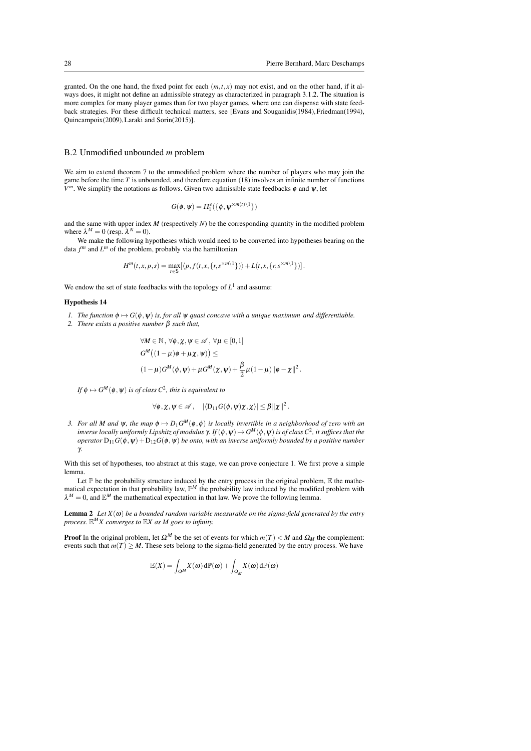granted. On the one hand, the fixed point for each  $(m, t, x)$  may not exist, and on the other hand, if it always does, it might not define an admissible strategy as characterized in paragraph 3.1.2. The situation is more complex for many player games than for two player games, where one can dispense with state feedback strategies. For these difficult technical matters, see [Evans and Souganidis(1984), Friedman(1994), Quincampoix(2009),Laraki and Sorin(2015)].

#### B.2 Unmodified unbounded *m* problem

We aim to extend theorem 7 to the unmodified problem where the number of players who may join the game before the time  $T$  is unbounded, and therefore equation (18) involves an infinite number of functions  $V^m$ . We simplify the notations as follows. Given two admissible state feedbacks  $\phi$  and  $\psi$ , let

$$
G(\phi, \psi) = \Pi_1^e(\{\phi, \psi^{\times m(t)}\}\)
$$

and the same with upper index *M* (respectively *N*) be the corresponding quantity in the modified problem where  $\lambda^M = 0$  (resp.  $\lambda^N = 0$ ).

We make the following hypotheses which would need to be converted into hypotheses bearing on the data  $f^m$  and  $L^m$  of the problem, probably via the hamiltonian

$$
H^m(t,x,p,s)=\max_{r\in\mathbb{S}}\left[\langle p,f(t,x,\{r,s^{\times m\setminus 1}\})\rangle+L(t,x,\{r,s^{\times m\setminus 1}\})\right].
$$

We endow the set of state feedbacks with the topology of  $L<sup>1</sup>$  and assume:

#### Hypothesis 14

- *1. The function*  $\phi \mapsto G(\phi, \psi)$  *is, for all*  $\psi$  *quasi concave with a unique maximum and differentiable.*
- *2. There exists a positive number* β *such that,*

$$
\forall M \in \mathbb{N}, \forall \phi, \chi, \psi \in \mathscr{A}, \forall \mu \in [0,1]
$$
  

$$
G^M((1-\mu)\phi + \mu \chi, \psi)) \le
$$
  

$$
(1-\mu)G^M(\phi, \psi) + \mu G^M(\chi, \psi) + \frac{\beta}{2}\mu(1-\mu) \|\phi - \chi\|^2.
$$

If  $\phi \mapsto G^{M}(\phi,\psi)$  *is of class*  $C^2$ *, this is equivalent to* 

$$
\forall \phi, \chi, \psi \in \mathscr{A}, \quad |\langle D_{11}G(\phi, \psi)\chi, \chi \rangle| \leq \beta ||\chi||^2.
$$

*3. For all M and*  $\psi$ *, the map*  $\phi \mapsto D_1 G^M(\phi, \phi)$  is locally invertible in a neighborhood of zero with an  $i$ *nverse locally uniformly Lipshitz of modulus*  $\gamma$ *. If*  $(\phi, \psi) \mapsto G^M(\phi, \psi)$  *is of class*  $C^2$ *, it suffices that the operator*  $D_{11}G(\phi, \psi) + D_{12}G(\phi, \psi)$  *be onto, with an inverse uniformly bounded by a positive number* γ*.*

With this set of hypotheses, too abstract at this stage, we can prove conjecture 1. We first prove a simple lemma.

Let  $\mathbb P$  be the probability structure induced by the entry process in the original problem,  $\mathbb E$  the mathematical expectation in that probability law,  $\mathbb{P}^M$  the probability law induced by the modified problem with  $\lambda^M = 0$ , and  $\mathbb{E}^M$  the mathematical expectation in that law. We prove the following lemma.

**Lemma 2** *Let*  $X(\omega)$  *be a bounded random variable measurable on the sigma-field generated by the entry process.* E *<sup>M</sup>X converges to* E*X as M goes to infinity.*

**Proof** In the original problem, let  $\Omega^M$  be the set of events for which  $m(T) < M$  and  $\Omega_M$  the complement: events such that  $m(T) \geq M$ . These sets belong to the sigma-field generated by the entry process. We have

$$
\mathbb{E}(X) = \int_{\Omega^M} X(\omega) d\mathbb{P}(\omega) + \int_{\Omega_M} X(\omega) d\mathbb{P}(\omega)
$$